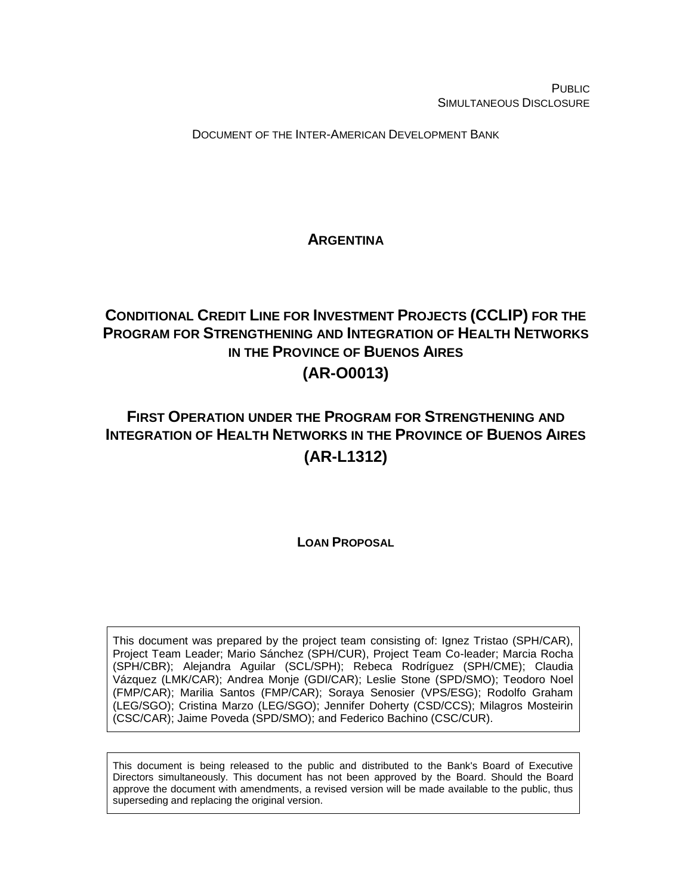PUBLIC SIMULTANEOUS DISCLOSURE

DOCUMENT OF THE INTER-AMERICAN DEVELOPMENT BANK

## **ARGENTINA**

# <span id="page-0-1"></span><span id="page-0-0"></span>**CONDITIONAL CREDIT LINE FOR INVESTMENT PROJECTS (CCLIP) FOR THE PROGRAM FOR STRENGTHENING AND INTEGRATION OF HEALTH NETWORKS IN THE PROVINCE OF BUENOS AIRES (AR-O0013)**

# **FIRST OPERATION UNDER THE PROGRAM FOR STRENGTHENING AND INTEGRATION OF HEALTH NETWORKS IN THE PROVINCE OF BUENOS AIRES (AR-L1312)**

## **LOAN PROPOSAL**

This document was prepared by the project team consisting of: Ignez Tristao (SPH/CAR), Project Team Leader; Mario Sánchez (SPH/CUR), Project Team Co-leader; Marcia Rocha (SPH/CBR); Alejandra Aguilar (SCL/SPH); Rebeca Rodríguez (SPH/CME); Claudia Vázquez (LMK/CAR); Andrea Monje (GDI/CAR); Leslie Stone (SPD/SMO); Teodoro Noel (FMP/CAR); Marilia Santos (FMP/CAR); Soraya Senosier (VPS/ESG); Rodolfo Graham (LEG/SGO); Cristina Marzo (LEG/SGO); Jennifer Doherty (CSD/CCS); Milagros Mosteirin (CSC/CAR); Jaime Poveda (SPD/SMO); and Federico Bachino (CSC/CUR).

This document is being released to the public and distributed to the Bank's Board of Executive Directors simultaneously. This document has not been approved by the Board. Should the Board approve the document with amendments, a revised version will be made available to the public, thus superseding and replacing the original version.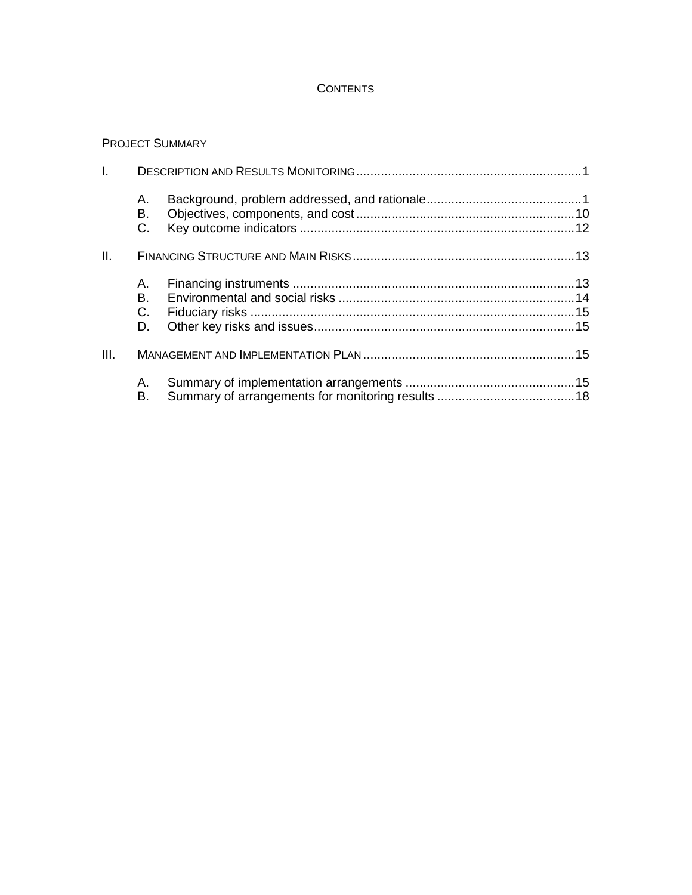## **CONTENTS**

## PROJECT SUMMARY

|            | А.<br>В.<br>C.         |  |  |  |  |  |  |  |
|------------|------------------------|--|--|--|--|--|--|--|
| II.        |                        |  |  |  |  |  |  |  |
|            | A. .<br>В.<br>C.<br>D. |  |  |  |  |  |  |  |
| I.<br>III. |                        |  |  |  |  |  |  |  |
|            | А.<br>В.               |  |  |  |  |  |  |  |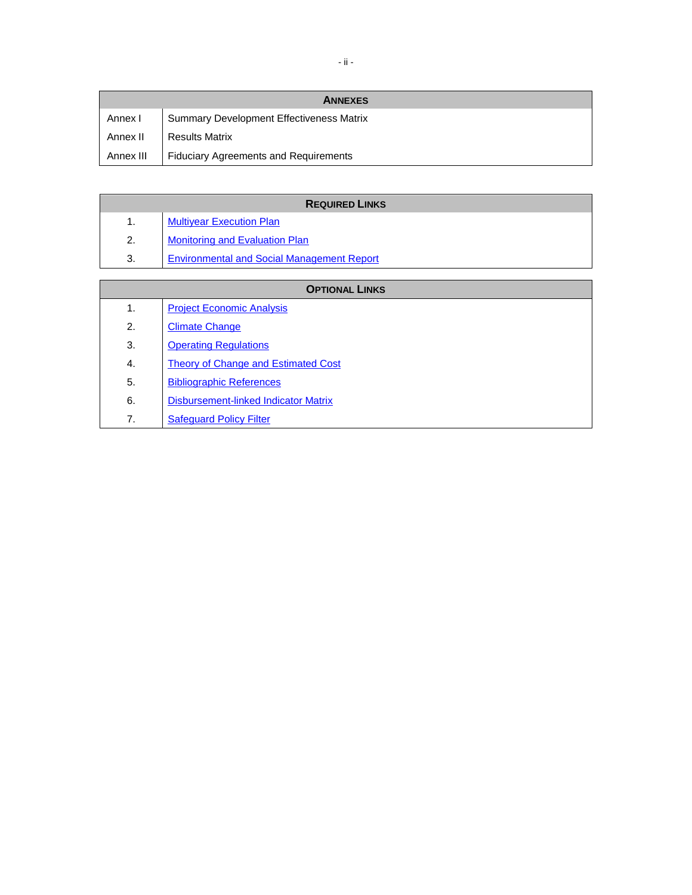|           | <b>ANNEXES</b>                                  |
|-----------|-------------------------------------------------|
| Annex I   | <b>Summary Development Effectiveness Matrix</b> |
| Annex II  | <b>Results Matrix</b>                           |
| Annex III | <b>Fiduciary Agreements and Requirements</b>    |

| <b>REQUIRED LINKS</b> |                                                   |  |  |  |  |  |  |
|-----------------------|---------------------------------------------------|--|--|--|--|--|--|
| 1.                    | <b>Multiyear Execution Plan</b>                   |  |  |  |  |  |  |
| 2.                    | <b>Monitoring and Evaluation Plan</b>             |  |  |  |  |  |  |
| 3.                    | <b>Environmental and Social Management Report</b> |  |  |  |  |  |  |
|                       |                                                   |  |  |  |  |  |  |

| <b>OPTIONAL LINKS</b> |                                            |  |  |  |  |  |
|-----------------------|--------------------------------------------|--|--|--|--|--|
| 1.                    | <b>Project Economic Analysis</b>           |  |  |  |  |  |
| 2.                    | <b>Climate Change</b>                      |  |  |  |  |  |
| 3.                    | <b>Operating Regulations</b>               |  |  |  |  |  |
| 4.                    | <b>Theory of Change and Estimated Cost</b> |  |  |  |  |  |
| 5.                    | <b>Bibliographic References</b>            |  |  |  |  |  |
| 6.                    | Disbursement-linked Indicator Matrix       |  |  |  |  |  |
| 7.                    | <b>Safequard Policy Filter</b>             |  |  |  |  |  |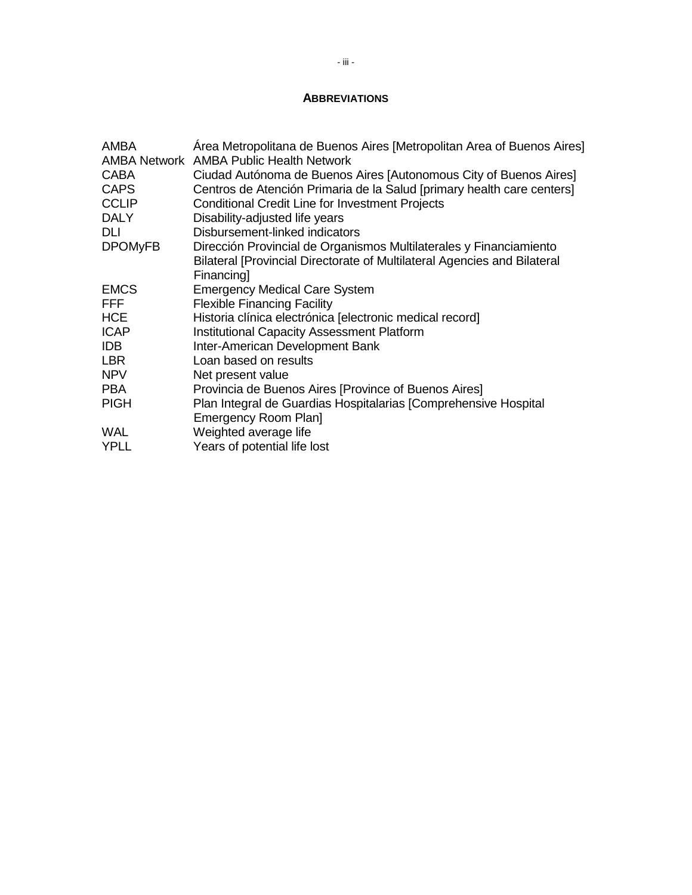## **ABBREVIATIONS**

| Area Metropolitana de Buenos Aires [Metropolitan Area of Buenos Aires]<br><b>AMBA Network AMBA Public Health Network</b>                                           |
|--------------------------------------------------------------------------------------------------------------------------------------------------------------------|
| Ciudad Autónoma de Buenos Aires [Autonomous City of Buenos Aires]<br>Centros de Atención Primaria de la Salud [primary health care centers]                        |
| <b>Conditional Credit Line for Investment Projects</b>                                                                                                             |
| Disability-adjusted life years<br>Disbursement-linked indicators                                                                                                   |
| Dirección Provincial de Organismos Multilaterales y Financiamiento<br>Bilateral [Provincial Directorate of Multilateral Agencies and Bilateral<br><b>Financing</b> |
| <b>Emergency Medical Care System</b>                                                                                                                               |
| <b>Flexible Financing Facility</b>                                                                                                                                 |
| Historia clínica electrónica [electronic medical record]                                                                                                           |
| <b>Institutional Capacity Assessment Platform</b>                                                                                                                  |
| Inter-American Development Bank                                                                                                                                    |
| Loan based on results                                                                                                                                              |
| Net present value                                                                                                                                                  |
| Provincia de Buenos Aires [Province of Buenos Aires]                                                                                                               |
| Plan Integral de Guardias Hospitalarias [Comprehensive Hospital<br><b>Emergency Room Plan]</b>                                                                     |
| Weighted average life                                                                                                                                              |
| Years of potential life lost                                                                                                                                       |
|                                                                                                                                                                    |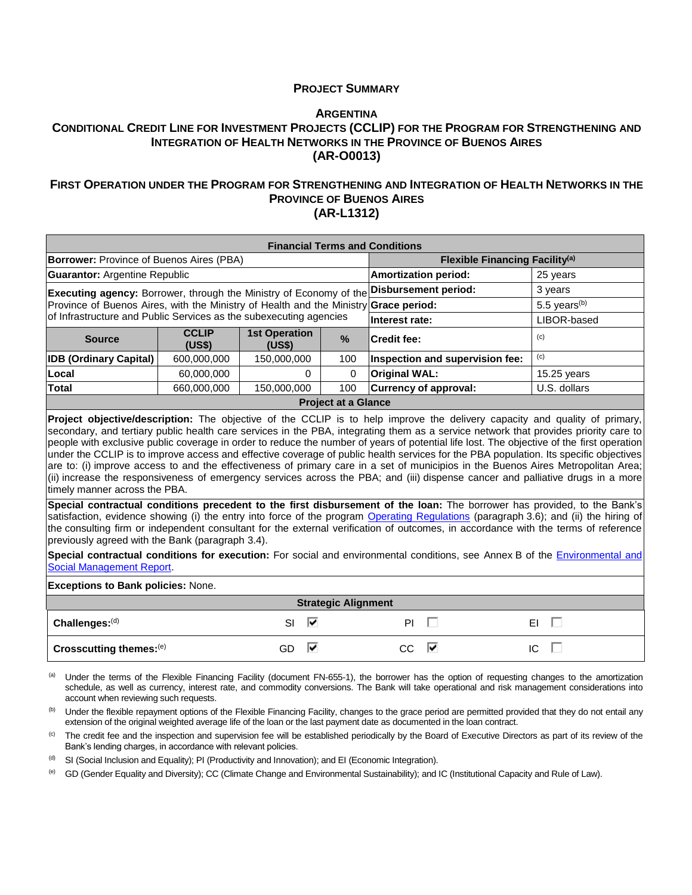### **PROJECT SUMMARY**

### **A[RGENTINA](#page-0-0) CONDITIONAL CREDIT LINE FOR INVESTMENT PROJECTS (CCLIP) FOR THE PROGRAM FOR S[TRENGTHENING AND](#page-0-1)  I[NTEGRATION OF](#page-0-1) HEALTH NETWORKS IN THE PROVINCE OF BUENOS AIRES [\(AR-O0013\)](#page-0-1)**

### **FIRST OPERATION UNDER THE PROGRAM FOR S[TRENGTHENING AND](#page-0-1) INTEGRATION OF HEALTH NETWORKS IN THE P[ROVINCE OF](#page-0-1) BUENOS AIRES [\(AR-L1312\)](#page-0-1)**

| <b>Financial Terms and Conditions</b>                                                                                                                                                                                                                                                                                                                                                                                                                                                                                                                                                                                                                                                                                                                                                                                                                                                                                                                                                                                                                     |                                                                                     |             |                                            |                             |                                 |          |                          |  |  |  |
|-----------------------------------------------------------------------------------------------------------------------------------------------------------------------------------------------------------------------------------------------------------------------------------------------------------------------------------------------------------------------------------------------------------------------------------------------------------------------------------------------------------------------------------------------------------------------------------------------------------------------------------------------------------------------------------------------------------------------------------------------------------------------------------------------------------------------------------------------------------------------------------------------------------------------------------------------------------------------------------------------------------------------------------------------------------|-------------------------------------------------------------------------------------|-------------|--------------------------------------------|-----------------------------|---------------------------------|----------|--------------------------|--|--|--|
| <b>Borrower: Province of Buenos Aires (PBA)</b>                                                                                                                                                                                                                                                                                                                                                                                                                                                                                                                                                                                                                                                                                                                                                                                                                                                                                                                                                                                                           |                                                                                     |             | Flexible Financing Facility <sup>(a)</sup> |                             |                                 |          |                          |  |  |  |
| <b>Guarantor: Argentine Republic</b>                                                                                                                                                                                                                                                                                                                                                                                                                                                                                                                                                                                                                                                                                                                                                                                                                                                                                                                                                                                                                      |                                                                                     |             |                                            | <b>Amortization period:</b> |                                 | 25 years |                          |  |  |  |
| <b>Executing agency:</b> Borrower, through the Ministry of Economy of the                                                                                                                                                                                                                                                                                                                                                                                                                                                                                                                                                                                                                                                                                                                                                                                                                                                                                                                                                                                 |                                                                                     |             |                                            | Disbursement period:        |                                 | 3 years  |                          |  |  |  |
| Province of Buenos Aires, with the Ministry of Health and the Ministry Grace period:                                                                                                                                                                                                                                                                                                                                                                                                                                                                                                                                                                                                                                                                                                                                                                                                                                                                                                                                                                      |                                                                                     |             |                                            |                             |                                 |          | 5.5 years <sup>(b)</sup> |  |  |  |
| of Infrastructure and Public Services as the subexecuting agencies                                                                                                                                                                                                                                                                                                                                                                                                                                                                                                                                                                                                                                                                                                                                                                                                                                                                                                                                                                                        |                                                                                     |             |                                            | Interest rate:              |                                 |          | LIBOR-based              |  |  |  |
| <b>Source</b>                                                                                                                                                                                                                                                                                                                                                                                                                                                                                                                                                                                                                                                                                                                                                                                                                                                                                                                                                                                                                                             | <b>CCLIP</b><br><b>1st Operation</b><br>%<br><b>Credit fee:</b><br>(US\$)<br>(US\$) |             |                                            |                             |                                 |          | (c)                      |  |  |  |
| <b>IDB (Ordinary Capital)</b>                                                                                                                                                                                                                                                                                                                                                                                                                                                                                                                                                                                                                                                                                                                                                                                                                                                                                                                                                                                                                             | 600,000,000                                                                         | 150,000,000 | 100                                        |                             | Inspection and supervision fee: | (c)      |                          |  |  |  |
| Local                                                                                                                                                                                                                                                                                                                                                                                                                                                                                                                                                                                                                                                                                                                                                                                                                                                                                                                                                                                                                                                     | 60,000,000                                                                          |             | $\Omega$<br>$\Omega$                       | <b>Original WAL:</b>        |                                 |          | 15.25 years              |  |  |  |
| <b>Total</b>                                                                                                                                                                                                                                                                                                                                                                                                                                                                                                                                                                                                                                                                                                                                                                                                                                                                                                                                                                                                                                              | 660,000,000                                                                         | 150,000,000 | 100                                        |                             | Currency of approval:           |          | U.S. dollars             |  |  |  |
|                                                                                                                                                                                                                                                                                                                                                                                                                                                                                                                                                                                                                                                                                                                                                                                                                                                                                                                                                                                                                                                           |                                                                                     |             | <b>Project at a Glance</b>                 |                             |                                 |          |                          |  |  |  |
| people with exclusive public coverage in order to reduce the number of years of potential life lost. The objective of the first operation<br>under the CCLIP is to improve access and effective coverage of public health services for the PBA population. Its specific objectives<br>are to: (i) improve access to and the effectiveness of primary care in a set of municipios in the Buenos Aires Metropolitan Area;<br>(ii) increase the responsiveness of emergency services across the PBA; and (iii) dispense cancer and palliative drugs in a more<br>timely manner across the PBA.<br>Special contractual conditions precedent to the first disbursement of the loan: The borrower has provided, to the Bank's<br>satisfaction, evidence showing (i) the entry into force of the program Operating Regulations (paragraph 3.6); and (ii) the hiring of<br>the consulting firm or independent consultant for the external verification of outcomes, in accordance with the terms of reference<br>previously agreed with the Bank (paragraph 3.4). |                                                                                     |             |                                            |                             |                                 |          |                          |  |  |  |
| Special contractual conditions for execution: For social and environmental conditions, see Annex B of the <i>Environmental and</i><br><b>Social Management Report.</b>                                                                                                                                                                                                                                                                                                                                                                                                                                                                                                                                                                                                                                                                                                                                                                                                                                                                                    |                                                                                     |             |                                            |                             |                                 |          |                          |  |  |  |
| <b>Exceptions to Bank policies: None.</b>                                                                                                                                                                                                                                                                                                                                                                                                                                                                                                                                                                                                                                                                                                                                                                                                                                                                                                                                                                                                                 |                                                                                     |             |                                            |                             |                                 |          |                          |  |  |  |
| <b>Strategic Alignment</b>                                                                                                                                                                                                                                                                                                                                                                                                                                                                                                                                                                                                                                                                                                                                                                                                                                                                                                                                                                                                                                |                                                                                     |             |                                            |                             |                                 |          |                          |  |  |  |
| Challenges:(d)                                                                                                                                                                                                                                                                                                                                                                                                                                                                                                                                                                                                                                                                                                                                                                                                                                                                                                                                                                                                                                            |                                                                                     | ⊽           | PI                                         |                             | EI                              |          |                          |  |  |  |
| Crosscutting themes:(e)                                                                                                                                                                                                                                                                                                                                                                                                                                                                                                                                                                                                                                                                                                                                                                                                                                                                                                                                                                                                                                   |                                                                                     | GD          | ⊽                                          | <b>CC</b>                   | ⊽                               | IC       |                          |  |  |  |
|                                                                                                                                                                                                                                                                                                                                                                                                                                                                                                                                                                                                                                                                                                                                                                                                                                                                                                                                                                                                                                                           |                                                                                     |             |                                            |                             |                                 |          |                          |  |  |  |

(a) Under the terms of the Flexible Financing Facility (document FN-655-1), the borrower has the option of requesting changes to the amortization schedule, as well as currency, interest rate, and commodity conversions. The Bank will take operational and risk management considerations into account when reviewing such requests.

(b) Under the flexible repayment options of the Flexible Financing Facility, changes to the grace period are permitted provided that they do not entail any extension of the original weighted average life of the loan or the last payment date as documented in the loan contract.

<sup>(c)</sup> The credit fee and the inspection and supervision fee will be established periodically by the Board of Executive Directors as part of its review of the Bank's lending charges, in accordance with relevant policies.

 $<sup>(d)</sup>$  SI (Social Inclusion and Equality); PI (Productivity and Innovation); and EI (Economic Integration).</sup>

(e) GD (Gender Equality and Diversity); CC (Climate Change and Environmental Sustainability); and IC (Institutional Capacity and Rule of Law).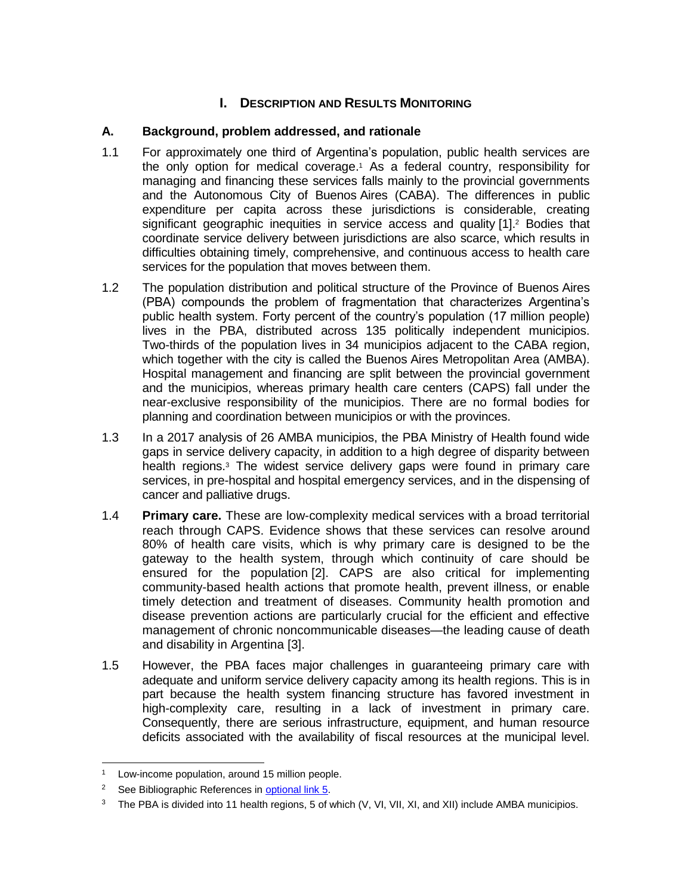## **I.** DESCRIPTION AND RESULTS MONITORING

## **A. Background, problem addressed, and rationale**

- 1.1 For approximately one third of Argentina's population, public health services are the only option for medical coverage. <sup>1</sup> As a federal country, responsibility for managing and financing these services falls mainly to the provincial governments and the Autonomous City of Buenos Aires (CABA). The differences in public expenditure per capita across these jurisdictions is considerable, creating significant geographic inequities in service access and quality [1].<sup>2</sup> Bodies that coordinate service delivery between jurisdictions are also scarce, which results in difficulties obtaining timely, comprehensive, and continuous access to health care services for the population that moves between them.
- 1.2 The population distribution and political structure of the Province of Buenos Aires (PBA) compounds the problem of fragmentation that characterizes Argentina's public health system. Forty percent of the country's population (17 million people) lives in the PBA, distributed across 135 politically independent municipios. Two-thirds of the population lives in 34 municipios adjacent to the CABA region, which together with the city is called the Buenos Aires Metropolitan Area (AMBA). Hospital management and financing are split between the provincial government and the municipios, whereas primary health care centers (CAPS) fall under the near-exclusive responsibility of the municipios. There are no formal bodies for planning and coordination between municipios or with the provinces.
- 1.3 In a 2017 analysis of 26 AMBA municipios, the PBA Ministry of Health found wide gaps in service delivery capacity, in addition to a high degree of disparity between health regions.<sup>3</sup> The widest service delivery gaps were found in primary care services, in pre-hospital and hospital emergency services, and in the dispensing of cancer and palliative drugs.
- 1.4 **Primary care.** These are low-complexity medical services with a broad territorial reach through CAPS. Evidence shows that these services can resolve around 80% of health care visits, which is why primary care is designed to be the gateway to the health system, through which continuity of care should be ensured for the population [2]. CAPS are also critical for implementing community-based health actions that promote health, prevent illness, or enable timely detection and treatment of diseases. Community health promotion and disease prevention actions are particularly crucial for the efficient and effective management of chronic noncommunicable diseases—the leading cause of death and disability in Argentina [3].
- 1.5 However, the PBA faces major challenges in guaranteeing primary care with adequate and uniform service delivery capacity among its health regions. This is in part because the health system financing structure has favored investment in high-complexity care, resulting in a lack of investment in primary care. Consequently, there are serious infrastructure, equipment, and human resource deficits associated with the availability of fiscal resources at the municipal level.

Low-income population, around 15 million people.

<sup>&</sup>lt;sup>2</sup> See Bibliographic References in **optional link 5**.

<sup>&</sup>lt;sup>3</sup> The PBA is divided into 11 health regions, 5 of which  $(V, VI, VI, XI,$  and XII) include AMBA municipios.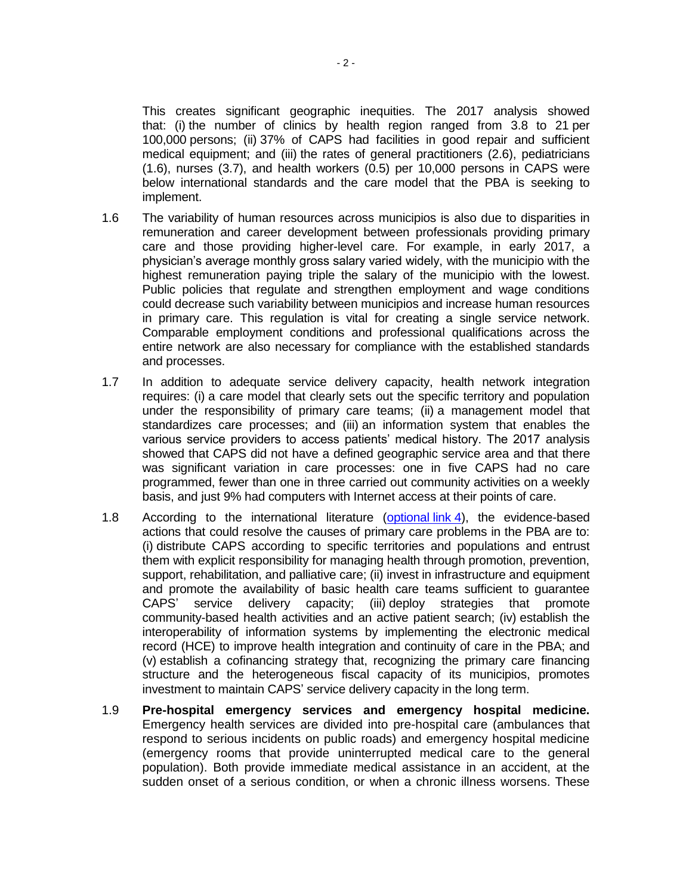This creates significant geographic inequities. The 2017 analysis showed that: (i) the number of clinics by health region ranged from 3.8 to 21 per 100,000 persons; (ii) 37% of CAPS had facilities in good repair and sufficient medical equipment; and (iii) the rates of general practitioners (2.6), pediatricians (1.6), nurses (3.7), and health workers (0.5) per 10,000 persons in CAPS were below international standards and the care model that the PBA is seeking to implement.

- 1.6 The variability of human resources across municipios is also due to disparities in remuneration and career development between professionals providing primary care and those providing higher-level care. For example, in early 2017, a physician's average monthly gross salary varied widely, with the municipio with the highest remuneration paying triple the salary of the municipio with the lowest. Public policies that regulate and strengthen employment and wage conditions could decrease such variability between municipios and increase human resources in primary care. This regulation is vital for creating a single service network. Comparable employment conditions and professional qualifications across the entire network are also necessary for compliance with the established standards and processes.
- 1.7 In addition to adequate service delivery capacity, health network integration requires: (i) a care model that clearly sets out the specific territory and population under the responsibility of primary care teams; (ii) a management model that standardizes care processes; and (iii) an information system that enables the various service providers to access patients' medical history. The 2017 analysis showed that CAPS did not have a defined geographic service area and that there was significant variation in care processes: one in five CAPS had no care programmed, fewer than one in three carried out community activities on a weekly basis, and just 9% had computers with Internet access at their points of care.
- 1.8 According to the international literature [\(optional](http://idbdocs.iadb.org/wsdocs/getDocument.aspx?DOCNUM=EZSHARE-2055647864-19) link 4), the evidence-based actions that could resolve the causes of primary care problems in the PBA are to: (i) distribute CAPS according to specific territories and populations and entrust them with explicit responsibility for managing health through promotion, prevention, support, rehabilitation, and palliative care; (ii) invest in infrastructure and equipment and promote the availability of basic health care teams sufficient to guarantee CAPS' service delivery capacity; (iii) deploy strategies that promote community-based health activities and an active patient search; (iv) establish the interoperability of information systems by implementing the electronic medical record (HCE) to improve health integration and continuity of care in the PBA; and (v) establish a cofinancing strategy that, recognizing the primary care financing structure and the heterogeneous fiscal capacity of its municipios, promotes investment to maintain CAPS' service delivery capacity in the long term.
- 1.9 **Pre-hospital emergency services and emergency hospital medicine.** Emergency health services are divided into pre-hospital care (ambulances that respond to serious incidents on public roads) and emergency hospital medicine (emergency rooms that provide uninterrupted medical care to the general population). Both provide immediate medical assistance in an accident, at the sudden onset of a serious condition, or when a chronic illness worsens. These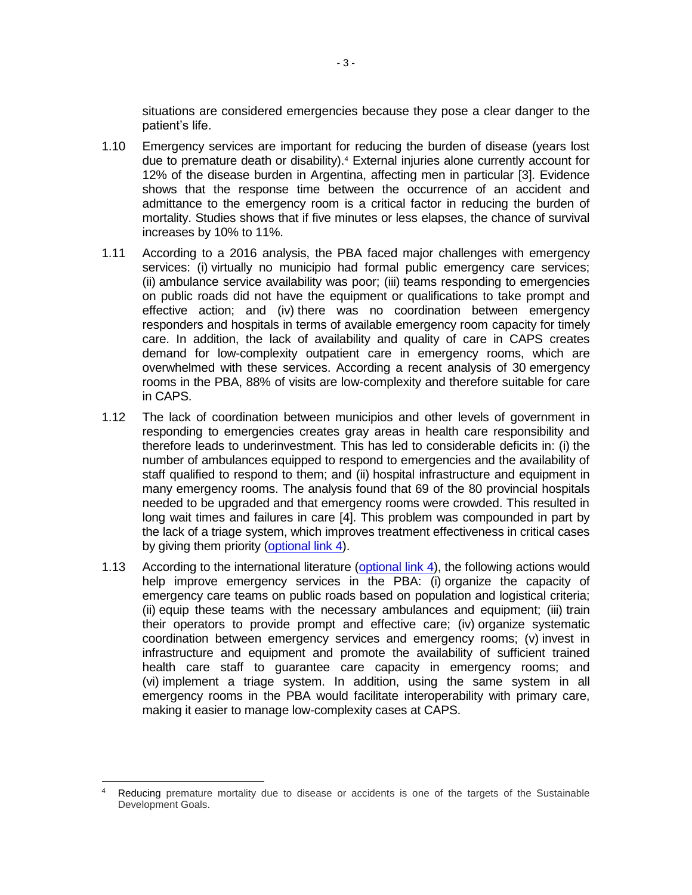situations are considered emergencies because they pose a clear danger to the patient's life.

- 1.10 Emergency services are important for reducing the burden of disease (years lost due to premature death or disability).<sup>4</sup> External injuries alone currently account for 12% of the disease burden in Argentina, affecting men in particular [3]. Evidence shows that the response time between the occurrence of an accident and admittance to the emergency room is a critical factor in reducing the burden of mortality. Studies shows that if five minutes or less elapses, the chance of survival increases by 10% to 11%.
- 1.11 According to a 2016 analysis, the PBA faced major challenges with emergency services: (i) virtually no municipio had formal public emergency care services; (ii) ambulance service availability was poor; (iii) teams responding to emergencies on public roads did not have the equipment or qualifications to take prompt and effective action; and (iv) there was no coordination between emergency responders and hospitals in terms of available emergency room capacity for timely care. In addition, the lack of availability and quality of care in CAPS creates demand for low-complexity outpatient care in emergency rooms, which are overwhelmed with these services. According a recent analysis of 30 emergency rooms in the PBA, 88% of visits are low-complexity and therefore suitable for care in CAPS.
- 1.12 The lack of coordination between municipios and other levels of government in responding to emergencies creates gray areas in health care responsibility and therefore leads to underinvestment. This has led to considerable deficits in: (i) the number of ambulances equipped to respond to emergencies and the availability of staff qualified to respond to them; and (ii) hospital infrastructure and equipment in many emergency rooms. The analysis found that 69 of the 80 provincial hospitals needed to be upgraded and that emergency rooms were crowded. This resulted in long wait times and failures in care [4]. This problem was compounded in part by the lack of a triage system, which improves treatment effectiveness in critical cases by giving them priority [\(optional link](http://idbdocs.iadb.org/wsdocs/getDocument.aspx?DOCNUM=EZSHARE-2055647864-19) 4).
- 1.13 According to the international literature [\(optional link](http://idbdocs.iadb.org/wsdocs/getDocument.aspx?DOCNUM=EZSHARE-2055647864-19) 4), the following actions would help improve emergency services in the PBA: (i) organize the capacity of emergency care teams on public roads based on population and logistical criteria; (ii) equip these teams with the necessary ambulances and equipment; (iii) train their operators to provide prompt and effective care; (iv) organize systematic coordination between emergency services and emergency rooms; (v) invest in infrastructure and equipment and promote the availability of sufficient trained health care staff to guarantee care capacity in emergency rooms; and (vi) implement a triage system. In addition, using the same system in all emergency rooms in the PBA would facilitate interoperability with primary care, making it easier to manage low-complexity cases at CAPS.

 $\overline{a}$ 

Reducing premature mortality due to disease or accidents is one of the targets of the Sustainable Development Goals.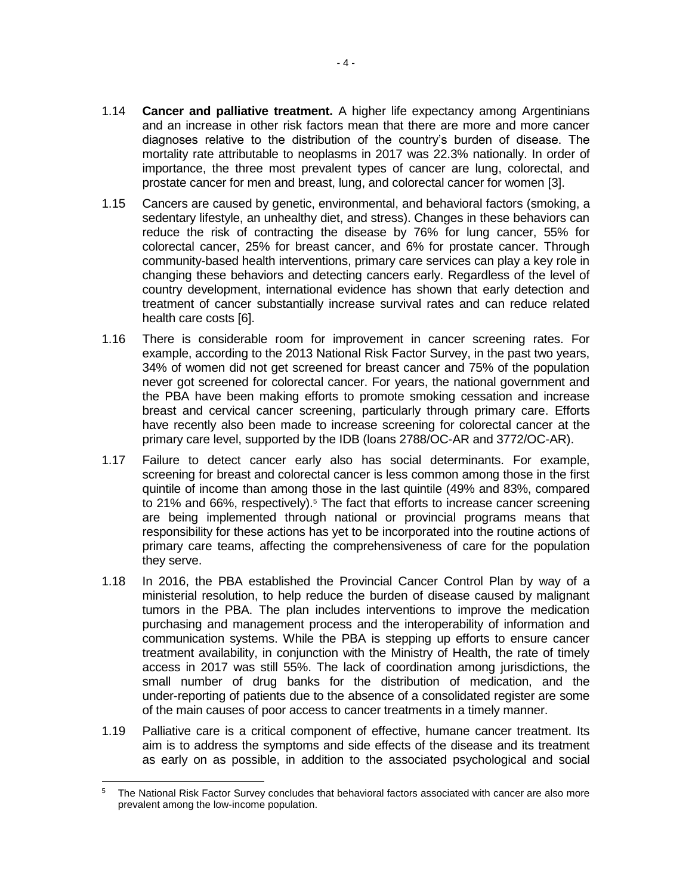- 1.14 **Cancer and palliative treatment.** A higher life expectancy among Argentinians and an increase in other risk factors mean that there are more and more cancer diagnoses relative to the distribution of the country's burden of disease. The mortality rate attributable to neoplasms in 2017 was 22.3% nationally. In order of importance, the three most prevalent types of cancer are lung, colorectal, and prostate cancer for men and breast, lung, and colorectal cancer for women [3].
- 1.15 Cancers are caused by genetic, environmental, and behavioral factors (smoking, a sedentary lifestyle, an unhealthy diet, and stress). Changes in these behaviors can reduce the risk of contracting the disease by 76% for lung cancer, 55% for colorectal cancer, 25% for breast cancer, and 6% for prostate cancer. Through community-based health interventions, primary care services can play a key role in changing these behaviors and detecting cancers early. Regardless of the level of country development, international evidence has shown that early detection and treatment of cancer substantially increase survival rates and can reduce related health care costs [6].
- 1.16 There is considerable room for improvement in cancer screening rates. For example, according to the 2013 National Risk Factor Survey, in the past two years, 34% of women did not get screened for breast cancer and 75% of the population never got screened for colorectal cancer. For years, the national government and the PBA have been making efforts to promote smoking cessation and increase breast and cervical cancer screening, particularly through primary care. Efforts have recently also been made to increase screening for colorectal cancer at the primary care level, supported by the IDB (loans 2788/OC-AR and 3772/OC-AR).
- 1.17 Failure to detect cancer early also has social determinants. For example, screening for breast and colorectal cancer is less common among those in the first quintile of income than among those in the last quintile (49% and 83%, compared to 21% and 66%, respectively).<sup>5</sup> The fact that efforts to increase cancer screening are being implemented through national or provincial programs means that responsibility for these actions has yet to be incorporated into the routine actions of primary care teams, affecting the comprehensiveness of care for the population they serve.
- 1.18 In 2016, the PBA established the Provincial Cancer Control Plan by way of a ministerial resolution, to help reduce the burden of disease caused by malignant tumors in the PBA. The plan includes interventions to improve the medication purchasing and management process and the interoperability of information and communication systems. While the PBA is stepping up efforts to ensure cancer treatment availability, in conjunction with the Ministry of Health, the rate of timely access in 2017 was still 55%. The lack of coordination among jurisdictions, the small number of drug banks for the distribution of medication, and the under-reporting of patients due to the absence of a consolidated register are some of the main causes of poor access to cancer treatments in a timely manner.
- 1.19 Palliative care is a critical component of effective, humane cancer treatment. Its aim is to address the symptoms and side effects of the disease and its treatment as early on as possible, in addition to the associated psychological and social

 $\overline{a}$ <sup>5</sup> The National Risk Factor Survey concludes that behavioral factors associated with cancer are also more prevalent among the low-income population.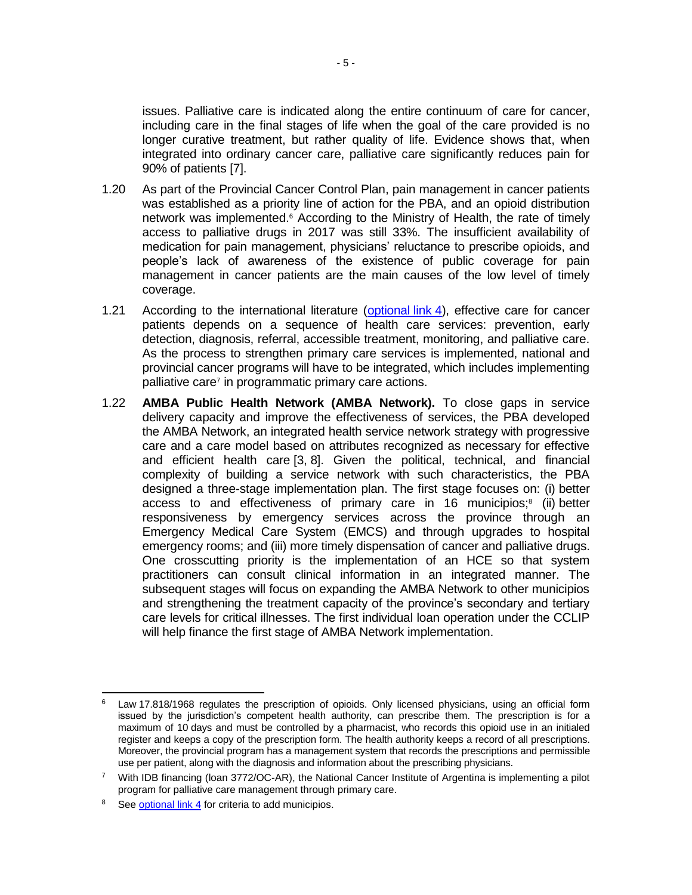issues. Palliative care is indicated along the entire continuum of care for cancer, including care in the final stages of life when the goal of the care provided is no longer curative treatment, but rather quality of life. Evidence shows that, when integrated into ordinary cancer care, palliative care significantly reduces pain for 90% of patients [7].

- 1.20 As part of the Provincial Cancer Control Plan, pain management in cancer patients was established as a priority line of action for the PBA, and an opioid distribution network was implemented. <sup>6</sup> According to the Ministry of Health, the rate of timely access to palliative drugs in 2017 was still 33%. The insufficient availability of medication for pain management, physicians' reluctance to prescribe opioids, and people's lack of awareness of the existence of public coverage for pain management in cancer patients are the main causes of the low level of timely coverage.
- 1.21 According to the international literature [\(optional](http://idbdocs.iadb.org/wsdocs/getDocument.aspx?DOCNUM=EZSHARE-2055647864-19) link 4), effective care for cancer patients depends on a sequence of health care services: prevention, early detection, diagnosis, referral, accessible treatment, monitoring, and palliative care. As the process to strengthen primary care services is implemented, national and provincial cancer programs will have to be integrated, which includes implementing palliative care<sup>7</sup> in programmatic primary care actions.
- 1.22 **AMBA Public Health Network (AMBA Network).** To close gaps in service delivery capacity and improve the effectiveness of services, the PBA developed the AMBA Network, an integrated health service network strategy with progressive care and a care model based on attributes recognized as necessary for effective and efficient health care [3, 8]. Given the political, technical, and financial complexity of building a service network with such characteristics, the PBA designed a three-stage implementation plan. The first stage focuses on: (i) better access to and effectiveness of primary care in 16 municipios;<sup>8</sup> (ii) better responsiveness by emergency services across the province through an Emergency Medical Care System (EMCS) and through upgrades to hospital emergency rooms; and (iii) more timely dispensation of cancer and palliative drugs. One crosscutting priority is the implementation of an HCE so that system practitioners can consult clinical information in an integrated manner. The subsequent stages will focus on expanding the AMBA Network to other municipios and strengthening the treatment capacity of the province's secondary and tertiary care levels for critical illnesses. The first individual loan operation under the CCLIP will help finance the first stage of AMBA Network implementation.

 $\overline{a}$ 

Law 17.818/1968 regulates the prescription of opioids. Only licensed physicians, using an official form issued by the jurisdiction's competent health authority, can prescribe them. The prescription is for a maximum of 10 days and must be controlled by a pharmacist, who records this opioid use in an initialed register and keeps a copy of the prescription form. The health authority keeps a record of all prescriptions. Moreover, the provincial program has a management system that records the prescriptions and permissible use per patient, along with the diagnosis and information about the prescribing physicians.

 $7$  With IDB financing (loan 3772/OC-AR), the National Cancer Institute of Argentina is implementing a pilot program for palliative care management through primary care.

<sup>&</sup>lt;sup>8</sup> See [optional link](http://idbdocs.iadb.org/wsdocs/getDocument.aspx?DOCNUM=EZSHARE-2055647864-19) 4 for criteria to add municipios.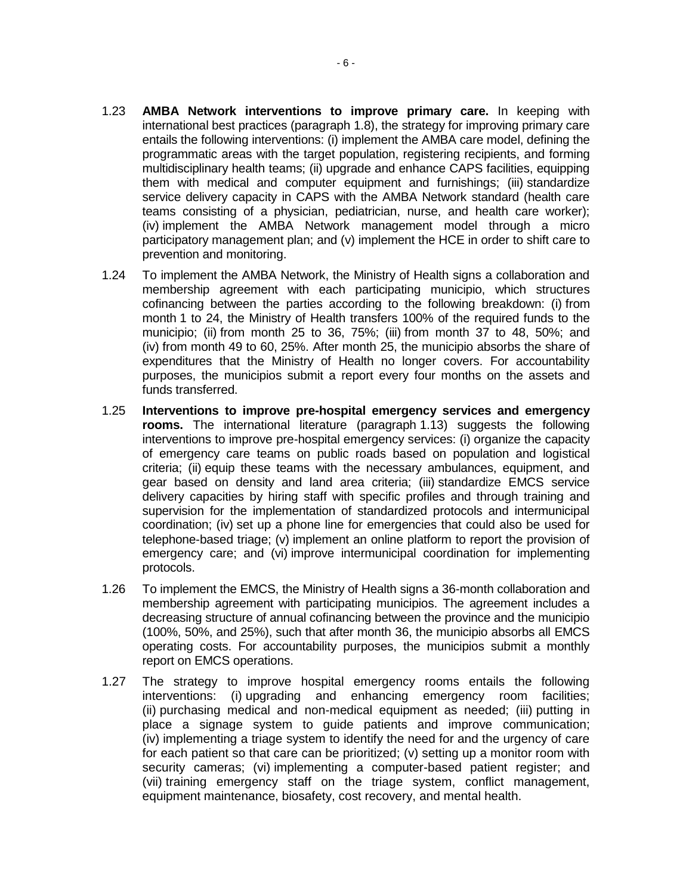- 1.23 **AMBA Network interventions to improve primary care.** In keeping with international best practices (paragraph 1.8), the strategy for improving primary care entails the following interventions: (i) implement the AMBA care model, defining the programmatic areas with the target population, registering recipients, and forming multidisciplinary health teams; (ii) upgrade and enhance CAPS facilities, equipping them with medical and computer equipment and furnishings; (iii) standardize service delivery capacity in CAPS with the AMBA Network standard (health care teams consisting of a physician, pediatrician, nurse, and health care worker); (iv) implement the AMBA Network management model through a micro participatory management plan; and (v) implement the HCE in order to shift care to prevention and monitoring.
- 1.24 To implement the AMBA Network, the Ministry of Health signs a collaboration and membership agreement with each participating municipio, which structures cofinancing between the parties according to the following breakdown: (i) from month 1 to 24, the Ministry of Health transfers 100% of the required funds to the municipio; (ii) from month 25 to 36, 75%; (iii) from month 37 to 48, 50%; and (iv) from month 49 to 60, 25%. After month 25, the municipio absorbs the share of expenditures that the Ministry of Health no longer covers. For accountability purposes, the municipios submit a report every four months on the assets and funds transferred.
- 1.25 **Interventions to improve pre-hospital emergency services and emergency rooms.** The international literature (paragraph 1.13) suggests the following interventions to improve pre-hospital emergency services: (i) organize the capacity of emergency care teams on public roads based on population and logistical criteria; (ii) equip these teams with the necessary ambulances, equipment, and gear based on density and land area criteria; (iii) standardize EMCS service delivery capacities by hiring staff with specific profiles and through training and supervision for the implementation of standardized protocols and intermunicipal coordination; (iv) set up a phone line for emergencies that could also be used for telephone-based triage; (v) implement an online platform to report the provision of emergency care; and (vi) improve intermunicipal coordination for implementing protocols.
- 1.26 To implement the EMCS, the Ministry of Health signs a 36-month collaboration and membership agreement with participating municipios. The agreement includes a decreasing structure of annual cofinancing between the province and the municipio (100%, 50%, and 25%), such that after month 36, the municipio absorbs all EMCS operating costs. For accountability purposes, the municipios submit a monthly report on EMCS operations.
- 1.27 The strategy to improve hospital emergency rooms entails the following interventions: (i) upgrading and enhancing emergency room facilities; (ii) purchasing medical and non-medical equipment as needed; (iii) putting in place a signage system to guide patients and improve communication; (iv) implementing a triage system to identify the need for and the urgency of care for each patient so that care can be prioritized; (v) setting up a monitor room with security cameras; (vi) implementing a computer-based patient register; and (vii) training emergency staff on the triage system, conflict management, equipment maintenance, biosafety, cost recovery, and mental health.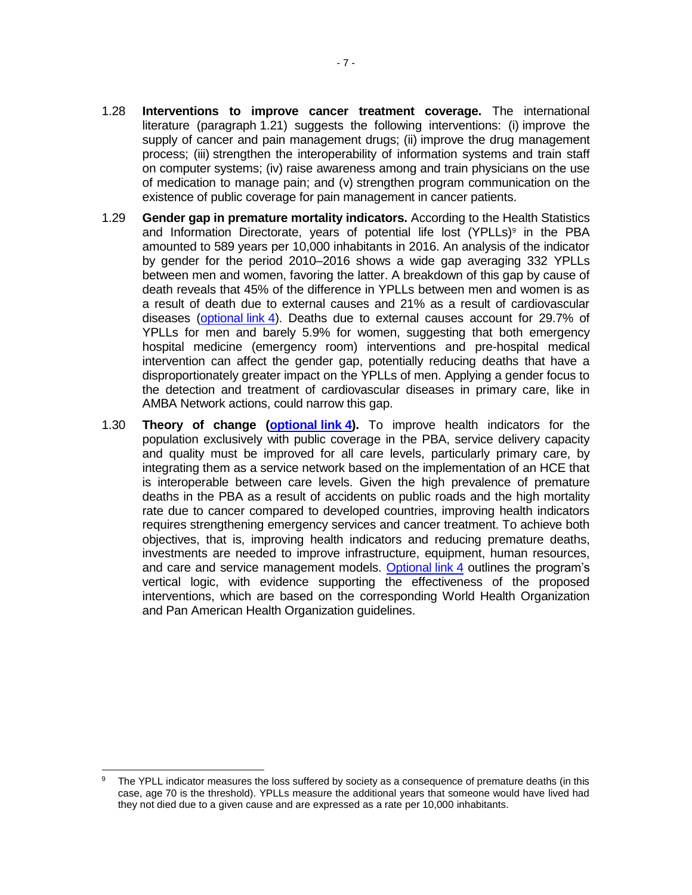- 1.28 **Interventions to improve cancer treatment coverage.** The international literature (paragraph 1.21) suggests the following interventions: (i) improve the supply of cancer and pain management drugs; (ii) improve the drug management process; (iii) strengthen the interoperability of information systems and train staff on computer systems; (iv) raise awareness among and train physicians on the use of medication to manage pain; and (v) strengthen program communication on the existence of public coverage for pain management in cancer patients.
- 1.29 **Gender gap in premature mortality indicators.** According to the Health Statistics and Information Directorate, years of potential life lost (YPLLs)<sup>9</sup> in the PBA amounted to 589 years per 10,000 inhabitants in 2016. An analysis of the indicator by gender for the period 2010–2016 shows a wide gap averaging 332 YPLLs between men and women, favoring the latter. A breakdown of this gap by cause of death reveals that 45% of the difference in YPLLs between men and women is as a result of death due to external causes and 21% as a result of cardiovascular diseases [\(optional](http://idbdocs.iadb.org/wsdocs/getDocument.aspx?DOCNUM=EZSHARE-2055647864-19) link 4). Deaths due to external causes account for 29.7% of YPLLs for men and barely 5.9% for women, suggesting that both emergency hospital medicine (emergency room) interventions and pre-hospital medical intervention can affect the gender gap, potentially reducing deaths that have a disproportionately greater impact on the YPLLs of men. Applying a gender focus to the detection and treatment of cardiovascular diseases in primary care, like in AMBA Network actions, could narrow this gap.
- 1.30 **Theory of change [\(optional](http://idbdocs.iadb.org/wsdocs/getDocument.aspx?DOCNUM=EZSHARE-2055647864-19) link 4).** To improve health indicators for the population exclusively with public coverage in the PBA, service delivery capacity and quality must be improved for all care levels, particularly primary care, by integrating them as a service network based on the implementation of an HCE that is interoperable between care levels. Given the high prevalence of premature deaths in the PBA as a result of accidents on public roads and the high mortality rate due to cancer compared to developed countries, improving health indicators requires strengthening emergency services and cancer treatment. To achieve both objectives, that is, improving health indicators and reducing premature deaths, investments are needed to improve infrastructure, equipment, human resources, and care and service management models. [Optional](http://idbdocs.iadb.org/wsdocs/getDocument.aspx?DOCNUM=EZSHARE-2055647864-19) link 4 outlines the program's vertical logic, with evidence supporting the effectiveness of the proposed interventions, which are based on the corresponding World Health Organization and Pan American Health Organization guidelines.

 The YPLL indicator measures the loss suffered by society as a consequence of premature deaths (in this case, age 70 is the threshold). YPLLs measure the additional years that someone would have lived had they not died due to a given cause and are expressed as a rate per 10,000 inhabitants.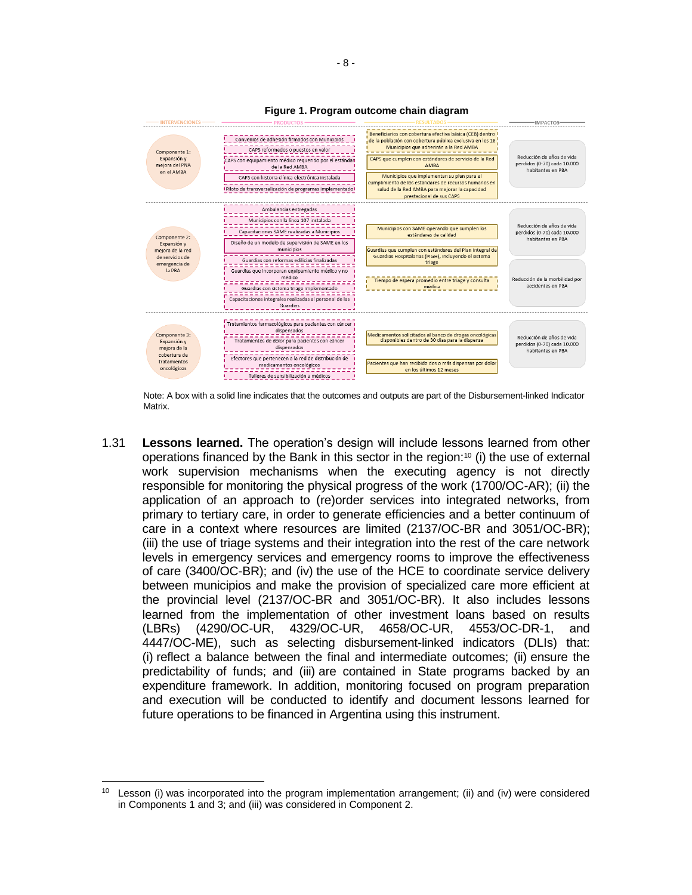

**Figure 1. Program outcome chain diagram**

Note: A box with a solid line indicates that the outcomes and outputs are part of the Disbursement-linked Indicator Matrix.

1.31 **Lessons learned.** The operation's design will include lessons learned from other operations financed by the Bank in this sector in the region:<sup>10</sup> (i) the use of external work supervision mechanisms when the executing agency is not directly responsible for monitoring the physical progress of the work (1700/OC-AR); (ii) the application of an approach to (re)order services into integrated networks, from primary to tertiary care, in order to generate efficiencies and a better continuum of care in a context where resources are limited (2137/OC-BR and 3051/OC-BR); (iii) the use of triage systems and their integration into the rest of the care network levels in emergency services and emergency rooms to improve the effectiveness of care (3400/OC-BR); and (iv) the use of the HCE to coordinate service delivery between municipios and make the provision of specialized care more efficient at the provincial level (2137/OC-BR and 3051/OC-BR). It also includes lessons learned from the implementation of other investment loans based on results (LBRs) (4290/OC-UR, 4329/OC-UR, 4658/OC-UR, 4553/OC-DR-1, and 4447/OC-ME), such as selecting disbursement-linked indicators (DLIs) that: (i) reflect a balance between the final and intermediate outcomes; (ii) ensure the predictability of funds; and (iii) are contained in State programs backed by an expenditure framework. In addition, monitoring focused on program preparation and execution will be conducted to identify and document lessons learned for future operations to be financed in Argentina using this instrument.

 $\overline{a}$ 

 $10$  Lesson (i) was incorporated into the program implementation arrangement; (ii) and (iv) were considered in Components 1 and 3; and (iii) was considered in Component 2.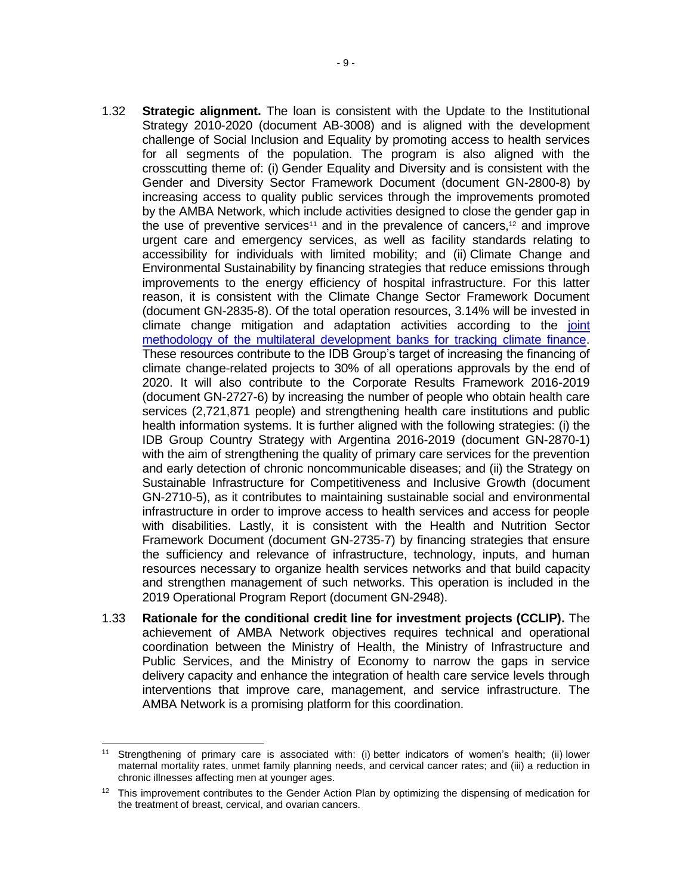- 1.32 **Strategic alignment.** The loan is consistent with the Update to the Institutional Strategy 2010-2020 (document AB-3008) and is aligned with the development challenge of Social Inclusion and Equality by promoting access to health services for all segments of the population. The program is also aligned with the crosscutting theme of: (i) Gender Equality and Diversity and is consistent with the Gender and Diversity Sector Framework Document (document GN-2800-8) by increasing access to quality public services through the improvements promoted by the AMBA Network, which include activities designed to close the gender gap in the use of preventive services<sup>11</sup> and in the prevalence of cancers,<sup>12</sup> and improve urgent care and emergency services, as well as facility standards relating to accessibility for individuals with limited mobility; and (ii) Climate Change and Environmental Sustainability by financing strategies that reduce emissions through improvements to the energy efficiency of hospital infrastructure. For this latter reason, it is consistent with the Climate Change Sector Framework Document (document GN-2835-8). Of the total operation resources, 3.14% will be invested in climate change mitigation and adaptation activities according to the [joint](https://publications.iadb.org/handle/11319/9163)  [methodology of the multilateral development banks for tracking climate finance.](https://publications.iadb.org/handle/11319/9163) These resources contribute to the IDB Group's target of increasing the financing of climate change-related projects to 30% of all operations approvals by the end of 2020. It will also contribute to the Corporate Results Framework 2016-2019 (document GN-2727-6) by increasing the number of people who obtain health care services (2,721,871 people) and strengthening health care institutions and public health information systems. It is further aligned with the following strategies: (i) the IDB Group Country Strategy with Argentina 2016-2019 (document GN-2870-1) with the aim of strengthening the quality of primary care services for the prevention and early detection of chronic noncommunicable diseases; and (ii) the Strategy on Sustainable Infrastructure for Competitiveness and Inclusive Growth (document GN-2710-5), as it contributes to maintaining sustainable social and environmental infrastructure in order to improve access to health services and access for people with disabilities. Lastly, it is consistent with the Health and Nutrition Sector Framework Document (document GN-2735-7) by financing strategies that ensure the sufficiency and relevance of infrastructure, technology, inputs, and human resources necessary to organize health services networks and that build capacity and strengthen management of such networks. This operation is included in the 2019 Operational Program Report (document GN-2948).
- 1.33 **Rationale for the conditional credit line for investment projects (CCLIP).** The achievement of AMBA Network objectives requires technical and operational coordination between the Ministry of Health, the Ministry of Infrastructure and Public Services, and the Ministry of Economy to narrow the gaps in service delivery capacity and enhance the integration of health care service levels through interventions that improve care, management, and service infrastructure. The AMBA Network is a promising platform for this coordination.

 $11 -$ Strengthening of primary care is associated with: (i) better indicators of women's health; (ii) lower maternal mortality rates, unmet family planning needs, and cervical cancer rates; and (iii) a reduction in chronic illnesses affecting men at younger ages.

<sup>&</sup>lt;sup>12</sup> This improvement contributes to the Gender Action Plan by optimizing the dispensing of medication for the treatment of breast, cervical, and ovarian cancers.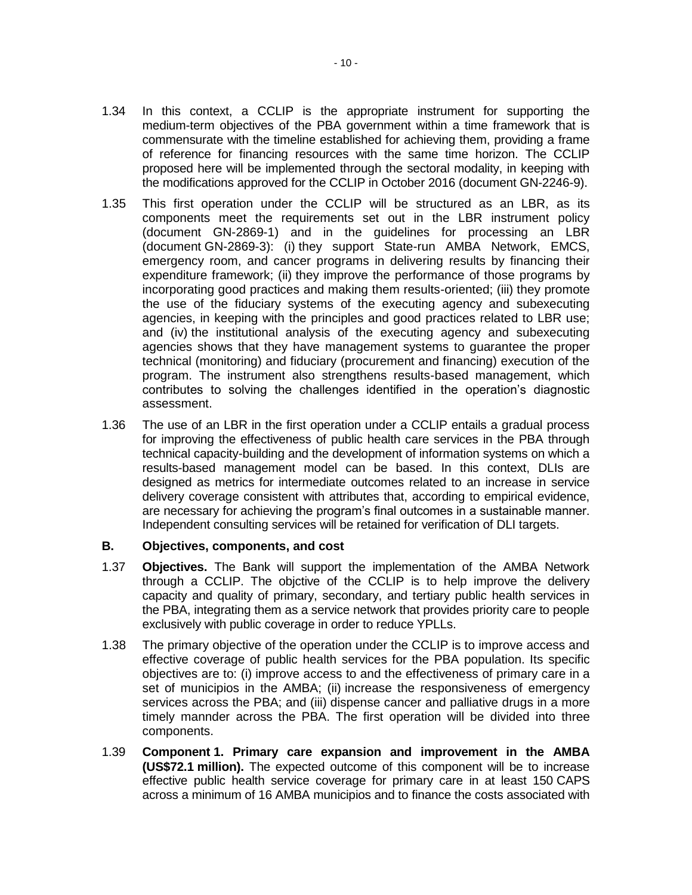- 1.34 In this context, a CCLIP is the appropriate instrument for supporting the medium-term objectives of the PBA government within a time framework that is commensurate with the timeline established for achieving them, providing a frame of reference for financing resources with the same time horizon. The CCLIP proposed here will be implemented through the sectoral modality, in keeping with the modifications approved for the CCLIP in October 2016 (document GN-2246-9).
- 1.35 This first operation under the CCLIP will be structured as an LBR, as its components meet the requirements set out in the LBR instrument policy (document GN-2869-1) and in the guidelines for processing an LBR (document GN-2869-3): (i) they support State-run AMBA Network, EMCS, emergency room, and cancer programs in delivering results by financing their expenditure framework; (ii) they improve the performance of those programs by incorporating good practices and making them results-oriented; (iii) they promote the use of the fiduciary systems of the executing agency and subexecuting agencies, in keeping with the principles and good practices related to LBR use; and (iv) the institutional analysis of the executing agency and subexecuting agencies shows that they have management systems to guarantee the proper technical (monitoring) and fiduciary (procurement and financing) execution of the program. The instrument also strengthens results-based management, which contributes to solving the challenges identified in the operation's diagnostic assessment.
- 1.36 The use of an LBR in the first operation under a CCLIP entails a gradual process for improving the effectiveness of public health care services in the PBA through technical capacity-building and the development of information systems on which a results-based management model can be based. In this context, DLIs are designed as metrics for intermediate outcomes related to an increase in service delivery coverage consistent with attributes that, according to empirical evidence, are necessary for achieving the program's final outcomes in a sustainable manner. Independent consulting services will be retained for verification of DLI targets.

### **B. Objectives, components, and cost**

- 1.37 **Objectives.** The Bank will support the implementation of the AMBA Network through a CCLIP. The objctive of the CCLIP is to help improve the delivery capacity and quality of primary, secondary, and tertiary public health services in the PBA, integrating them as a service network that provides priority care to people exclusively with public coverage in order to reduce YPLLs.
- 1.38 The primary objective of the operation under the CCLIP is to improve access and effective coverage of public health services for the PBA population. Its specific objectives are to: (i) improve access to and the effectiveness of primary care in a set of municipios in the AMBA; (ii) increase the responsiveness of emergency services across the PBA; and (iii) dispense cancer and palliative drugs in a more timely mannder across the PBA. The first operation will be divided into three components.
- 1.39 **Component 1. Primary care expansion and improvement in the AMBA (US\$72.1 million).** The expected outcome of this component will be to increase effective public health service coverage for primary care in at least 150 CAPS across a minimum of 16 AMBA municipios and to finance the costs associated with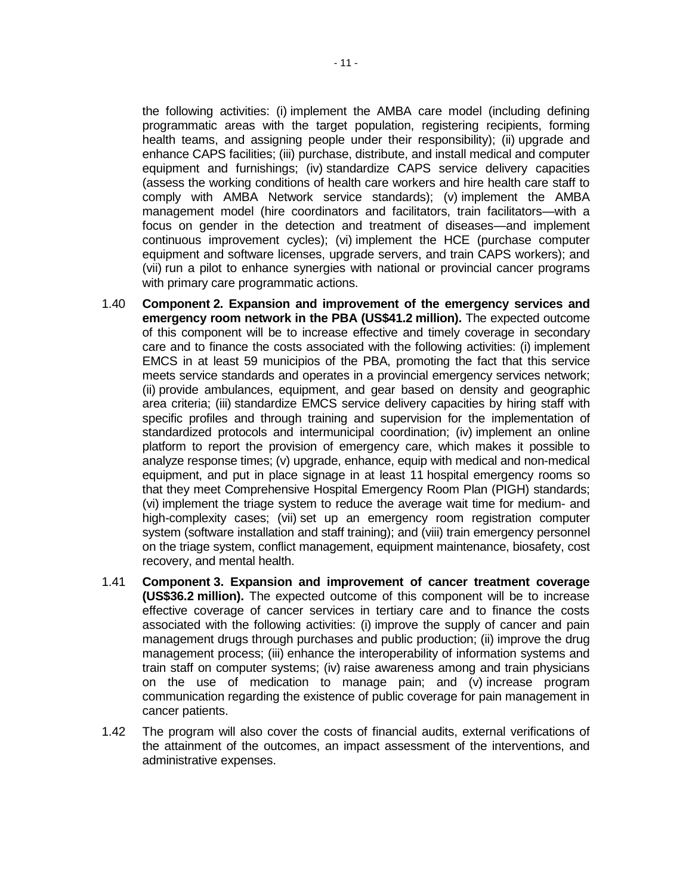the following activities: (i) implement the AMBA care model (including defining programmatic areas with the target population, registering recipients, forming health teams, and assigning people under their responsibility); (ii) upgrade and enhance CAPS facilities; (iii) purchase, distribute, and install medical and computer equipment and furnishings; (iv) standardize CAPS service delivery capacities (assess the working conditions of health care workers and hire health care staff to comply with AMBA Network service standards); (v) implement the AMBA management model (hire coordinators and facilitators, train facilitators—with a focus on gender in the detection and treatment of diseases—and implement continuous improvement cycles); (vi) implement the HCE (purchase computer equipment and software licenses, upgrade servers, and train CAPS workers); and (vii) run a pilot to enhance synergies with national or provincial cancer programs with primary care programmatic actions.

- 1.40 **Component 2. Expansion and improvement of the emergency services and emergency room network in the PBA (US\$41.2 million).** The expected outcome of this component will be to increase effective and timely coverage in secondary care and to finance the costs associated with the following activities: (i) implement EMCS in at least 59 municipios of the PBA, promoting the fact that this service meets service standards and operates in a provincial emergency services network; (ii) provide ambulances, equipment, and gear based on density and geographic area criteria; (iii) standardize EMCS service delivery capacities by hiring staff with specific profiles and through training and supervision for the implementation of standardized protocols and intermunicipal coordination; (iv) implement an online platform to report the provision of emergency care, which makes it possible to analyze response times; (v) upgrade, enhance, equip with medical and non-medical equipment, and put in place signage in at least 11 hospital emergency rooms so that they meet Comprehensive Hospital Emergency Room Plan (PIGH) standards; (vi) implement the triage system to reduce the average wait time for medium- and high-complexity cases; (vii) set up an emergency room registration computer system (software installation and staff training); and (viii) train emergency personnel on the triage system, conflict management, equipment maintenance, biosafety, cost recovery, and mental health.
- 1.41 **Component 3. Expansion and improvement of cancer treatment coverage (US\$36.2 million).** The expected outcome of this component will be to increase effective coverage of cancer services in tertiary care and to finance the costs associated with the following activities: (i) improve the supply of cancer and pain management drugs through purchases and public production; (ii) improve the drug management process; (iii) enhance the interoperability of information systems and train staff on computer systems; (iv) raise awareness among and train physicians on the use of medication to manage pain; and (v) increase program communication regarding the existence of public coverage for pain management in cancer patients.
- 1.42 The program will also cover the costs of financial audits, external verifications of the attainment of the outcomes, an impact assessment of the interventions, and administrative expenses.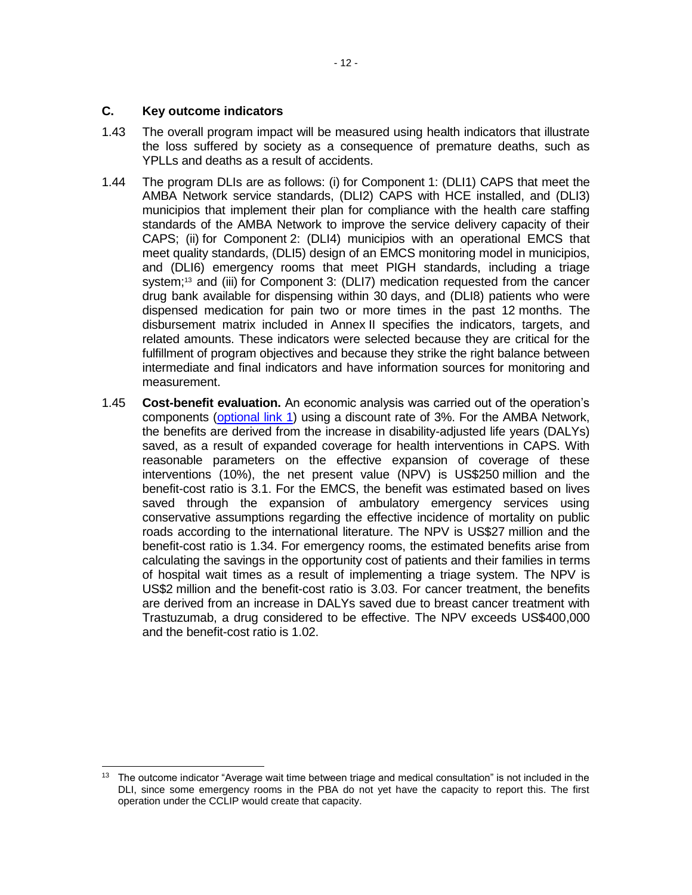## **C. Key outcome indicators**

- 1.43 The overall program impact will be measured using health indicators that illustrate the loss suffered by society as a consequence of premature deaths, such as YPLLs and deaths as a result of accidents.
- 1.44 The program DLIs are as follows: (i) for Component 1: (DLI1) CAPS that meet the AMBA Network service standards, (DLI2) CAPS with HCE installed, and (DLI3) municipios that implement their plan for compliance with the health care staffing standards of the AMBA Network to improve the service delivery capacity of their CAPS; (ii) for Component 2: (DLI4) municipios with an operational EMCS that meet quality standards, (DLI5) design of an EMCS monitoring model in municipios, and (DLI6) emergency rooms that meet PIGH standards, including a triage system;<sup>13</sup> and (iii) for Component 3: (DLI7) medication requested from the cancer drug bank available for dispensing within 30 days, and (DLI8) patients who were dispensed medication for pain two or more times in the past 12 months. The disbursement matrix included in Annex II specifies the indicators, targets, and related amounts. These indicators were selected because they are critical for the fulfillment of program objectives and because they strike the right balance between intermediate and final indicators and have information sources for monitoring and measurement.
- 1.45 **Cost-benefit evaluation.** An economic analysis was carried out of the operation's components [\(optional link](http://idbdocs.iadb.org/wsdocs/getDocument.aspx?DOCNUM=EZSHARE-2055647864-28) 1) using a discount rate of 3%. For the AMBA Network, the benefits are derived from the increase in disability-adjusted life years (DALYs) saved, as a result of expanded coverage for health interventions in CAPS. With reasonable parameters on the effective expansion of coverage of these interventions (10%), the net present value (NPV) is US\$250 million and the benefit-cost ratio is 3.1. For the EMCS, the benefit was estimated based on lives saved through the expansion of ambulatory emergency services using conservative assumptions regarding the effective incidence of mortality on public roads according to the international literature. The NPV is US\$27 million and the benefit-cost ratio is 1.34. For emergency rooms, the estimated benefits arise from calculating the savings in the opportunity cost of patients and their families in terms of hospital wait times as a result of implementing a triage system. The NPV is US\$2 million and the benefit-cost ratio is 3.03. For cancer treatment, the benefits are derived from an increase in DALYs saved due to breast cancer treatment with Trastuzumab, a drug considered to be effective. The NPV exceeds US\$400,000 and the benefit-cost ratio is 1.02.

 <sup>13</sup> The outcome indicator "Average wait time between triage and medical consultation" is not included in the DLI, since some emergency rooms in the PBA do not yet have the capacity to report this. The first operation under the CCLIP would create that capacity.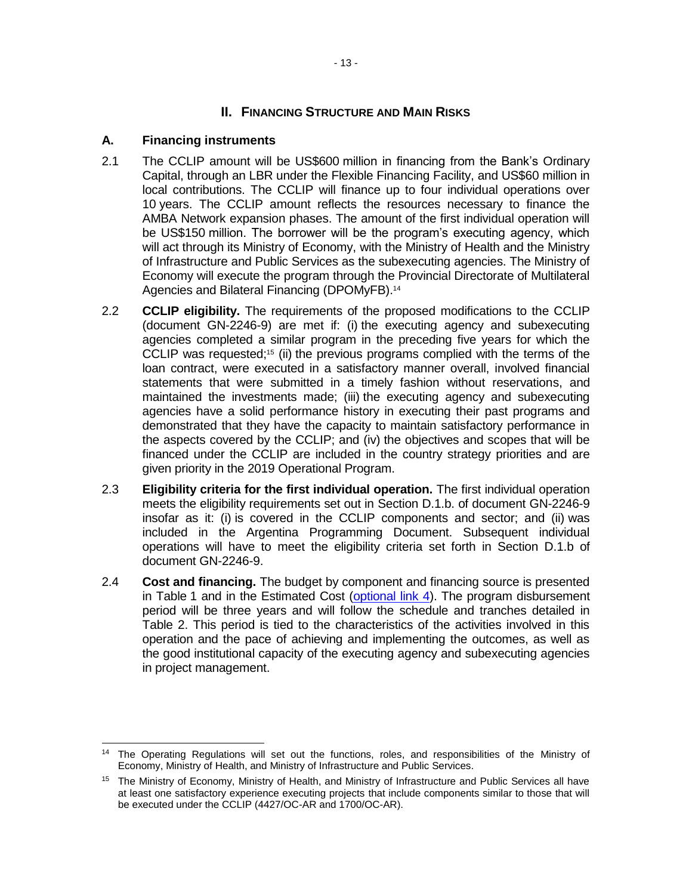## **II. FINANCING STRUCTURE AND MAIN RISKS**

## **A. Financing instruments**

- 2.1 The CCLIP amount will be US\$600 million in financing from the Bank's Ordinary Capital, through an LBR under the Flexible Financing Facility, and US\$60 million in local contributions. The CCLIP will finance up to four individual operations over 10 years. The CCLIP amount reflects the resources necessary to finance the AMBA Network expansion phases. The amount of the first individual operation will be US\$150 million. The borrower will be the program's executing agency, which will act through its Ministry of Economy, with the Ministry of Health and the Ministry of Infrastructure and Public Services as the subexecuting agencies. The Ministry of Economy will execute the program through the Provincial Directorate of Multilateral Agencies and Bilateral Financing (DPOMyFB).<sup>14</sup>
- 2.2 **CCLIP eligibility.** The requirements of the proposed modifications to the CCLIP (document GN-2246-9) are met if: (i) the executing agency and subexecuting agencies completed a similar program in the preceding five years for which the CCLIP was requested;<sup>15</sup> (ii) the previous programs complied with the terms of the loan contract, were executed in a satisfactory manner overall, involved financial statements that were submitted in a timely fashion without reservations, and maintained the investments made; (iii) the executing agency and subexecuting agencies have a solid performance history in executing their past programs and demonstrated that they have the capacity to maintain satisfactory performance in the aspects covered by the CCLIP; and (iv) the objectives and scopes that will be financed under the CCLIP are included in the country strategy priorities and are given priority in the 2019 Operational Program.
- 2.3 **Eligibility criteria for the first individual operation.** The first individual operation meets the eligibility requirements set out in Section D.1.b. of document GN-2246-9 insofar as it: (i) is covered in the CCLIP components and sector; and (ii) was included in the Argentina Programming Document. Subsequent individual operations will have to meet the eligibility criteria set forth in Section D.1.b of document GN-2246-9.
- 2.4 **Cost and financing.** The budget by component and financing source is presented in Table 1 and in the Estimated Cost [\(optional link](http://idbdocs.iadb.org/wsdocs/getDocument.aspx?DOCNUM=EZSHARE-2055647864-19) 4). The program disbursement period will be three years and will follow the schedule and tranches detailed in Table 2. This period is tied to the characteristics of the activities involved in this operation and the pace of achieving and implementing the outcomes, as well as the good institutional capacity of the executing agency and subexecuting agencies in project management.

 <sup>14</sup> The Operating Regulations will set out the functions, roles, and responsibilities of the Ministry of Economy, Ministry of Health, and Ministry of Infrastructure and Public Services.

<sup>15</sup> The Ministry of Economy, Ministry of Health, and Ministry of Infrastructure and Public Services all have at least one satisfactory experience executing projects that include components similar to those that will be executed under the CCLIP (4427/OC-AR and 1700/OC-AR).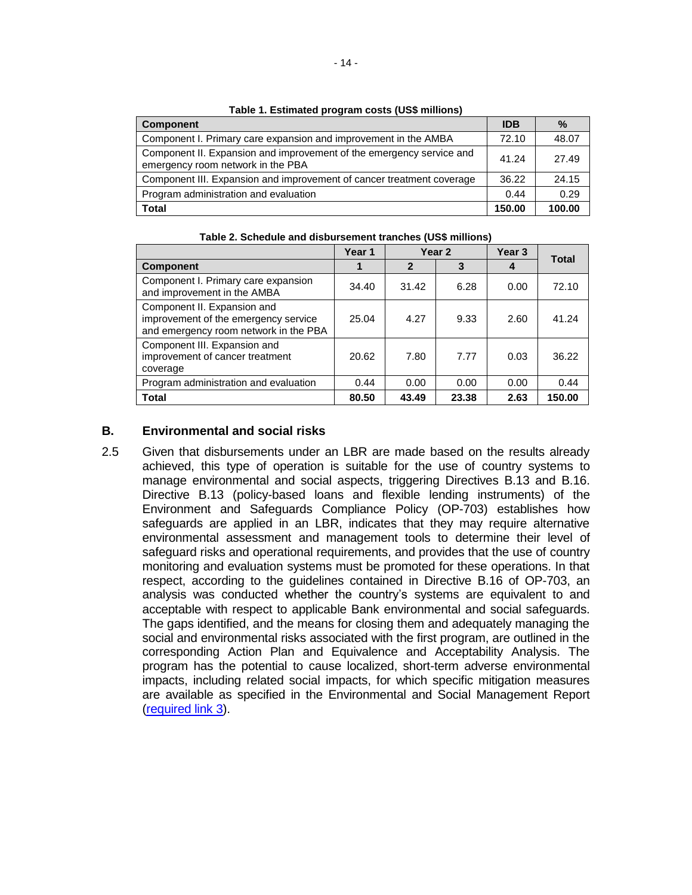| <b>1990 - Exemploy program voold (000 minutile)</b>                                                       |            |        |  |  |  |  |  |  |  |
|-----------------------------------------------------------------------------------------------------------|------------|--------|--|--|--|--|--|--|--|
| <b>Component</b>                                                                                          | <b>IDB</b> | $\%$   |  |  |  |  |  |  |  |
| Component I. Primary care expansion and improvement in the AMBA                                           | 72.10      | 48.07  |  |  |  |  |  |  |  |
| Component II. Expansion and improvement of the emergency service and<br>emergency room network in the PBA | 41.24      | 27.49  |  |  |  |  |  |  |  |
| Component III. Expansion and improvement of cancer treatment coverage                                     | 36.22      | 24.15  |  |  |  |  |  |  |  |
| Program administration and evaluation                                                                     | 0.44       | 0.29   |  |  |  |  |  |  |  |
| Total                                                                                                     | 150.00     | 100.00 |  |  |  |  |  |  |  |

**Table 1. Estimated program costs (US\$ millions)**

|                                                                                                              | Year 1 |              | Year <sub>2</sub> | Year <sub>3</sub> | <b>Total</b> |  |
|--------------------------------------------------------------------------------------------------------------|--------|--------------|-------------------|-------------------|--------------|--|
| <b>Component</b>                                                                                             |        | $\mathbf{2}$ | 3                 |                   |              |  |
| Component I. Primary care expansion<br>and improvement in the AMBA                                           | 34.40  | 31.42        | 6.28              | 0.00              | 72.10        |  |
| Component II. Expansion and<br>improvement of the emergency service<br>and emergency room network in the PBA | 25.04  | 4.27         | 9.33              | 2.60              | 41.24        |  |
| Component III. Expansion and<br>improvement of cancer treatment<br>coverage                                  | 20.62  | 7.80         | 7.77              | 0.03              | 36.22        |  |
| Program administration and evaluation                                                                        | 0.44   | 0.00         | 0.00              | 0.00              | 0.44         |  |
| <b>Total</b>                                                                                                 | 80.50  | 43.49        | 23.38             | 2.63              | 150.00       |  |

**Table 2. Schedule and disbursement tranches (US\$ millions)**

## **B. Environmental and social risks**

2.5 Given that disbursements under an LBR are made based on the results already achieved, this type of operation is suitable for the use of country systems to manage environmental and social aspects, triggering Directives B.13 and B.16. Directive B.13 (policy-based loans and flexible lending instruments) of the Environment and Safeguards Compliance Policy (OP-703) establishes how safeguards are applied in an LBR, indicates that they may require alternative environmental assessment and management tools to determine their level of safeguard risks and operational requirements, and provides that the use of country monitoring and evaluation systems must be promoted for these operations. In that respect, according to the guidelines contained in Directive B.16 of OP-703, an analysis was conducted whether the country's systems are equivalent to and acceptable with respect to applicable Bank environmental and social safeguards. The gaps identified, and the means for closing them and adequately managing the social and environmental risks associated with the first program, are outlined in the corresponding Action Plan and Equivalence and Acceptability Analysis. The program has the potential to cause localized, short-term adverse environmental impacts, including related social impacts, for which specific mitigation measures are available as specified in the Environmental and Social Management Report [\(required link](http://idbdocs.iadb.org/wsdocs/getDocument.aspx?DOCNUM=EZSHARE-2055647864-29) 3).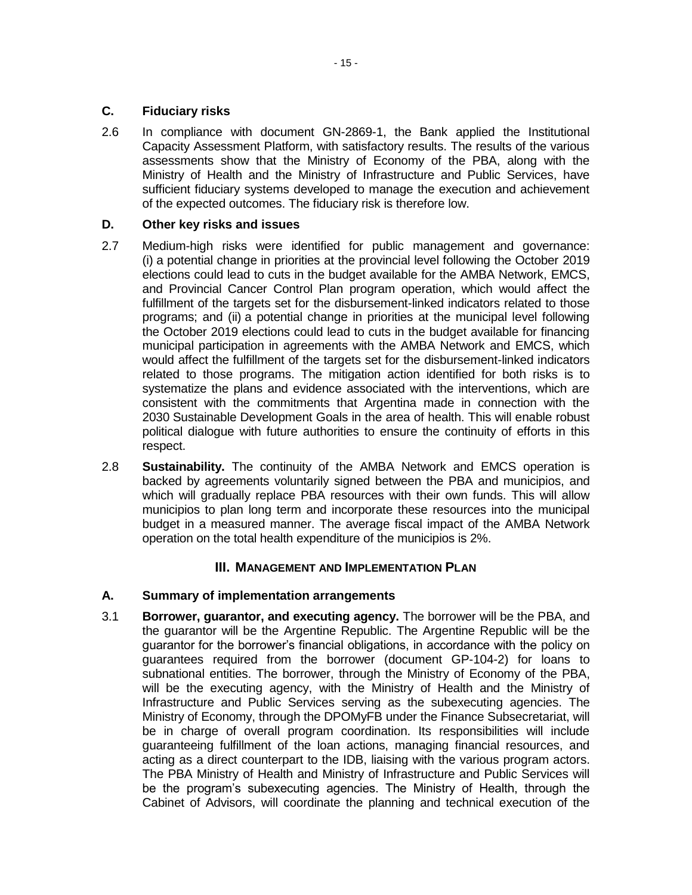## **C. Fiduciary risks**

2.6 In compliance with document GN-2869-1, the Bank applied the Institutional Capacity Assessment Platform, with satisfactory results. The results of the various assessments show that the Ministry of Economy of the PBA, along with the Ministry of Health and the Ministry of Infrastructure and Public Services, have sufficient fiduciary systems developed to manage the execution and achievement of the expected outcomes. The fiduciary risk is therefore low.

### **D. Other key risks and issues**

- 2.7 Medium-high risks were identified for public management and governance: (i) a potential change in priorities at the provincial level following the October 2019 elections could lead to cuts in the budget available for the AMBA Network, EMCS, and Provincial Cancer Control Plan program operation, which would affect the fulfillment of the targets set for the disbursement-linked indicators related to those programs; and (ii) a potential change in priorities at the municipal level following the October 2019 elections could lead to cuts in the budget available for financing municipal participation in agreements with the AMBA Network and EMCS, which would affect the fulfillment of the targets set for the disbursement-linked indicators related to those programs. The mitigation action identified for both risks is to systematize the plans and evidence associated with the interventions, which are consistent with the commitments that Argentina made in connection with the 2030 Sustainable Development Goals in the area of health. This will enable robust political dialogue with future authorities to ensure the continuity of efforts in this respect.
- 2.8 **Sustainability.** The continuity of the AMBA Network and EMCS operation is backed by agreements voluntarily signed between the PBA and municipios, and which will gradually replace PBA resources with their own funds. This will allow municipios to plan long term and incorporate these resources into the municipal budget in a measured manner. The average fiscal impact of the AMBA Network operation on the total health expenditure of the municipios is 2%.

## **III. MANAGEMENT AND IMPLEMENTATION PLAN**

## **A. Summary of implementation arrangements**

3.1 **Borrower, guarantor, and executing agency.** The borrower will be the PBA, and the guarantor will be the Argentine Republic. The Argentine Republic will be the guarantor for the borrower's financial obligations, in accordance with the policy on guarantees required from the borrower (document GP-104-2) for loans to subnational entities. The borrower, through the Ministry of Economy of the PBA, will be the executing agency, with the Ministry of Health and the Ministry of Infrastructure and Public Services serving as the subexecuting agencies. The Ministry of Economy, through the DPOMyFB under the Finance Subsecretariat, will be in charge of overall program coordination. Its responsibilities will include guaranteeing fulfillment of the loan actions, managing financial resources, and acting as a direct counterpart to the IDB, liaising with the various program actors. The PBA Ministry of Health and Ministry of Infrastructure and Public Services will be the program's subexecuting agencies. The Ministry of Health, through the Cabinet of Advisors, will coordinate the planning and technical execution of the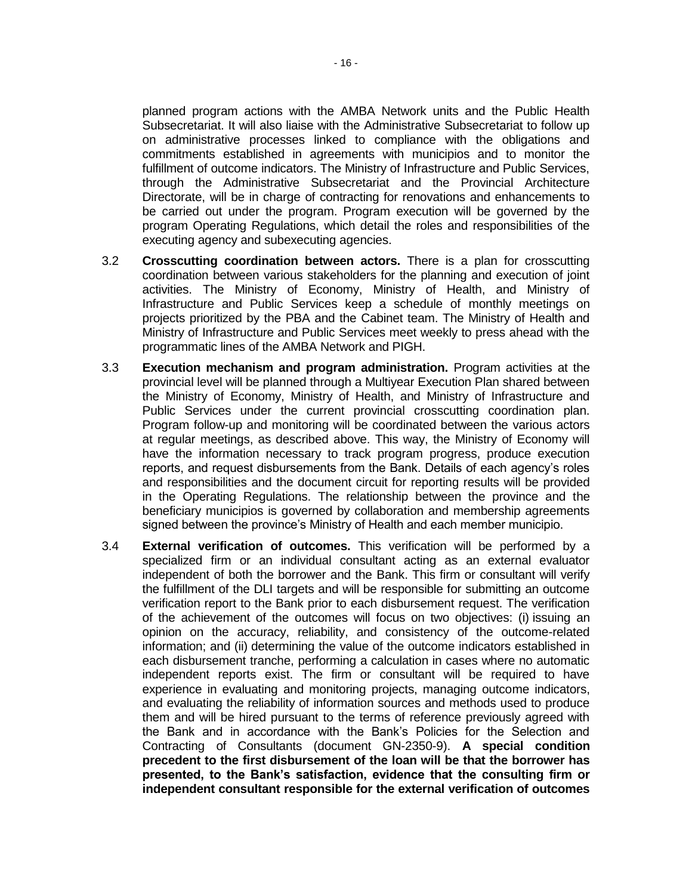planned program actions with the AMBA Network units and the Public Health Subsecretariat. It will also liaise with the Administrative Subsecretariat to follow up on administrative processes linked to compliance with the obligations and commitments established in agreements with municipios and to monitor the fulfillment of outcome indicators. The Ministry of Infrastructure and Public Services, through the Administrative Subsecretariat and the Provincial Architecture Directorate, will be in charge of contracting for renovations and enhancements to be carried out under the program. Program execution will be governed by the program Operating Regulations, which detail the roles and responsibilities of the executing agency and subexecuting agencies.

- 3.2 **Crosscutting coordination between actors.** There is a plan for crosscutting coordination between various stakeholders for the planning and execution of joint activities. The Ministry of Economy, Ministry of Health, and Ministry of Infrastructure and Public Services keep a schedule of monthly meetings on projects prioritized by the PBA and the Cabinet team. The Ministry of Health and Ministry of Infrastructure and Public Services meet weekly to press ahead with the programmatic lines of the AMBA Network and PIGH.
- 3.3 **Execution mechanism and program administration.** Program activities at the provincial level will be planned through a Multiyear Execution Plan shared between the Ministry of Economy, Ministry of Health, and Ministry of Infrastructure and Public Services under the current provincial crosscutting coordination plan. Program follow-up and monitoring will be coordinated between the various actors at regular meetings, as described above. This way, the Ministry of Economy will have the information necessary to track program progress, produce execution reports, and request disbursements from the Bank. Details of each agency's roles and responsibilities and the document circuit for reporting results will be provided in the Operating Regulations. The relationship between the province and the beneficiary municipios is governed by collaboration and membership agreements signed between the province's Ministry of Health and each member municipio.
- 3.4 **External verification of outcomes.** This verification will be performed by a specialized firm or an individual consultant acting as an external evaluator independent of both the borrower and the Bank. This firm or consultant will verify the fulfillment of the DLI targets and will be responsible for submitting an outcome verification report to the Bank prior to each disbursement request. The verification of the achievement of the outcomes will focus on two objectives: (i) issuing an opinion on the accuracy, reliability, and consistency of the outcome-related information; and (ii) determining the value of the outcome indicators established in each disbursement tranche, performing a calculation in cases where no automatic independent reports exist. The firm or consultant will be required to have experience in evaluating and monitoring projects, managing outcome indicators, and evaluating the reliability of information sources and methods used to produce them and will be hired pursuant to the terms of reference previously agreed with the Bank and in accordance with the Bank's Policies for the Selection and Contracting of Consultants (document GN-2350-9). **A special condition precedent to the first disbursement of the loan will be that the borrower has presented, to the Bank's satisfaction, evidence that the consulting firm or independent consultant responsible for the external verification of outcomes**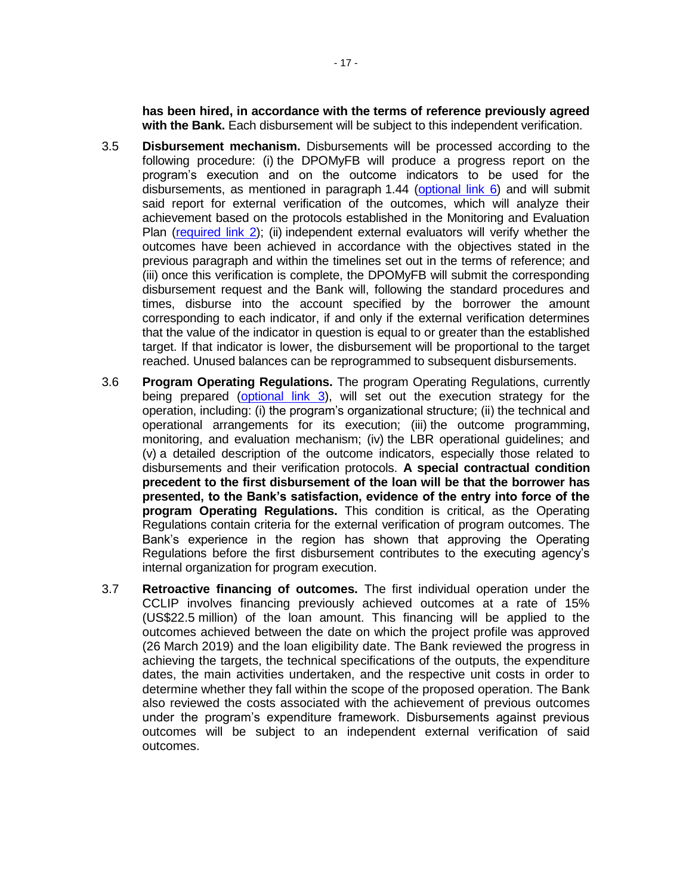**has been hired, in accordance with the terms of reference previously agreed with the Bank.** Each disbursement will be subject to this independent verification.

- 3.5 **Disbursement mechanism.** Disbursements will be processed according to the following procedure: (i) the DPOMyFB will produce a progress report on the program's execution and on the outcome indicators to be used for the disbursements, as mentioned in paragraph 1.44 [\(optional link 6\)](http://idbdocs.iadb.org/wsdocs/getDocument.aspx?DOCNUM=EZSHARE-2055647864-34) and will submit said report for external verification of the outcomes, which will analyze their achievement based on the protocols established in the Monitoring and Evaluation Plan [\(required link](http://idbdocs.iadb.org/wsdocs/getDocument.aspx?DOCNUM=EZSHARE-2055647864-26) 2); (ii) independent external evaluators will verify whether the outcomes have been achieved in accordance with the objectives stated in the previous paragraph and within the timelines set out in the terms of reference; and (iii) once this verification is complete, the DPOMyFB will submit the corresponding disbursement request and the Bank will, following the standard procedures and times, disburse into the account specified by the borrower the amount corresponding to each indicator, if and only if the external verification determines that the value of the indicator in question is equal to or greater than the established target. If that indicator is lower, the disbursement will be proportional to the target reached. Unused balances can be reprogrammed to subsequent disbursements.
- 3.6 **Program Operating Regulations.** The program Operating Regulations, currently being prepared [\(optional link](http://idbdocs.iadb.org/wsdocs/getDocument.aspx?DOCNUM=EZSHARE-2055647864-27) 3), will set out the execution strategy for the operation, including: (i) the program's organizational structure; (ii) the technical and operational arrangements for its execution; (iii) the outcome programming, monitoring, and evaluation mechanism; (iv) the LBR operational guidelines; and (v) a detailed description of the outcome indicators, especially those related to disbursements and their verification protocols. **A special contractual condition precedent to the first disbursement of the loan will be that the borrower has presented, to the Bank's satisfaction, evidence of the entry into force of the program Operating Regulations.** This condition is critical, as the Operating Regulations contain criteria for the external verification of program outcomes. The Bank's experience in the region has shown that approving the Operating Regulations before the first disbursement contributes to the executing agency's internal organization for program execution.
- 3.7 **Retroactive financing of outcomes.** The first individual operation under the CCLIP involves financing previously achieved outcomes at a rate of 15% (US\$22.5 million) of the loan amount. This financing will be applied to the outcomes achieved between the date on which the project profile was approved (26 March 2019) and the loan eligibility date. The Bank reviewed the progress in achieving the targets, the technical specifications of the outputs, the expenditure dates, the main activities undertaken, and the respective unit costs in order to determine whether they fall within the scope of the proposed operation. The Bank also reviewed the costs associated with the achievement of previous outcomes under the program's expenditure framework. Disbursements against previous outcomes will be subject to an independent external verification of said outcomes.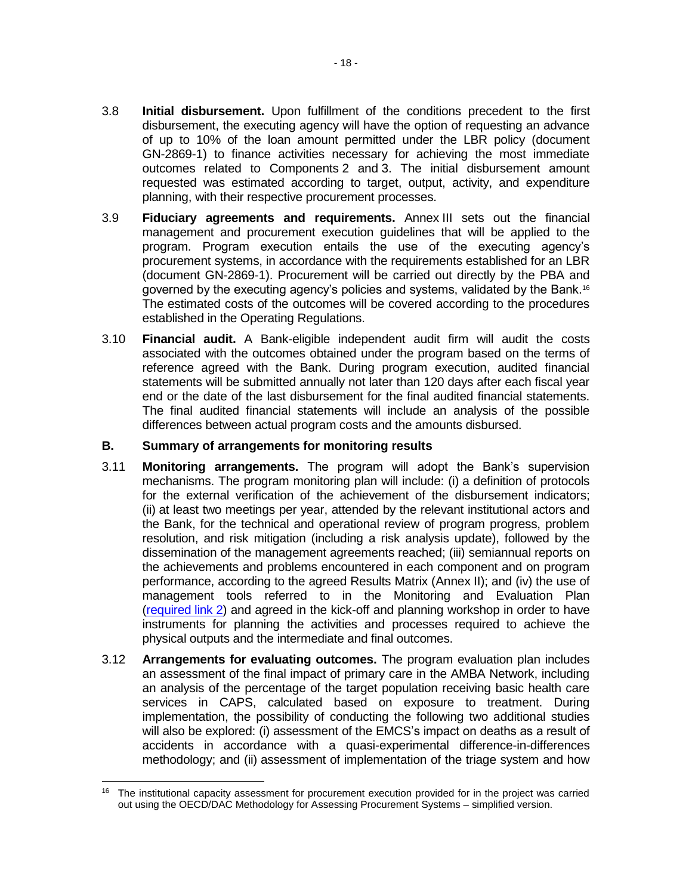- 3.8 **Initial disbursement.** Upon fulfillment of the conditions precedent to the first disbursement, the executing agency will have the option of requesting an advance of up to 10% of the loan amount permitted under the LBR policy (document GN-2869-1) to finance activities necessary for achieving the most immediate outcomes related to Components 2 and 3. The initial disbursement amount requested was estimated according to target, output, activity, and expenditure planning, with their respective procurement processes.
- 3.9 **Fiduciary agreements and requirements.** Annex III sets out the financial management and procurement execution guidelines that will be applied to the program. Program execution entails the use of the executing agency's procurement systems, in accordance with the requirements established for an LBR (document GN-2869-1). Procurement will be carried out directly by the PBA and governed by the executing agency's policies and systems, validated by the Bank.<sup>16</sup> The estimated costs of the outcomes will be covered according to the procedures established in the Operating Regulations.
- 3.10 **Financial audit.** A Bank-eligible independent audit firm will audit the costs associated with the outcomes obtained under the program based on the terms of reference agreed with the Bank. During program execution, audited financial statements will be submitted annually not later than 120 days after each fiscal year end or the date of the last disbursement for the final audited financial statements. The final audited financial statements will include an analysis of the possible differences between actual program costs and the amounts disbursed.

## **B. Summary of arrangements for monitoring results**

- 3.11 **Monitoring arrangements.** The program will adopt the Bank's supervision mechanisms. The program monitoring plan will include: (i) a definition of protocols for the external verification of the achievement of the disbursement indicators; (ii) at least two meetings per year, attended by the relevant institutional actors and the Bank, for the technical and operational review of program progress, problem resolution, and risk mitigation (including a risk analysis update), followed by the dissemination of the management agreements reached; (iii) semiannual reports on the achievements and problems encountered in each component and on program performance, according to the agreed Results Matrix (Annex II); and (iv) the use of management tools referred to in the Monitoring and Evaluation Plan [\(required](http://idbdocs.iadb.org/wsdocs/getDocument.aspx?DOCNUM=EZSHARE-2055647864-26) link 2) and agreed in the kick-off and planning workshop in order to have instruments for planning the activities and processes required to achieve the physical outputs and the intermediate and final outcomes.
- 3.12 **Arrangements for evaluating outcomes.** The program evaluation plan includes an assessment of the final impact of primary care in the AMBA Network, including an analysis of the percentage of the target population receiving basic health care services in CAPS, calculated based on exposure to treatment. During implementation, the possibility of conducting the following two additional studies will also be explored: (i) assessment of the EMCS's impact on deaths as a result of accidents in accordance with a quasi-experimental difference-in-differences methodology; and (ii) assessment of implementation of the triage system and how

 $\overline{a}$ <sup>16</sup> The institutional capacity assessment for procurement execution provided for in the project was carried out using the OECD/DAC Methodology for Assessing Procurement Systems – simplified version.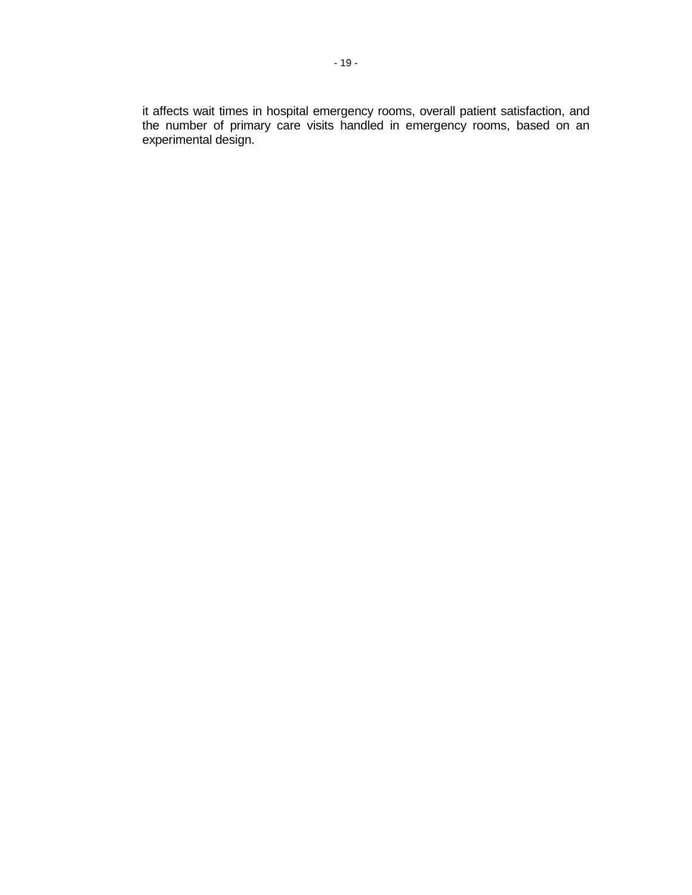it affects wait times in hospital emergency rooms, overall patient satisfaction, and the number of primary care visits handled in emergency rooms, based on an experimental design.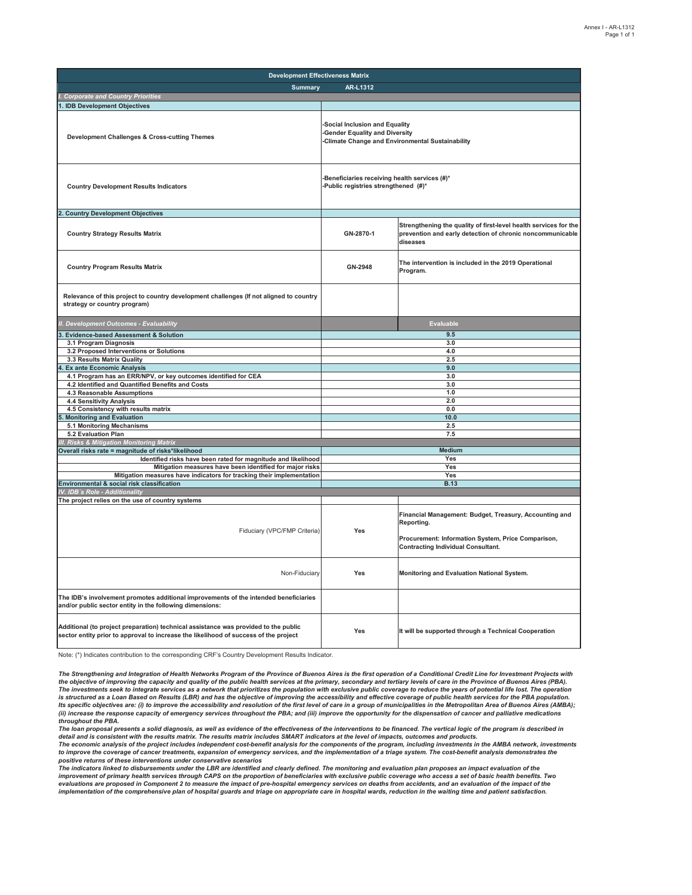| <b>Development Effectiveness Matrix</b>                                                                                                                                     |                                                                                                                           |                                                                                                                                                                         |  |  |  |  |  |
|-----------------------------------------------------------------------------------------------------------------------------------------------------------------------------|---------------------------------------------------------------------------------------------------------------------------|-------------------------------------------------------------------------------------------------------------------------------------------------------------------------|--|--|--|--|--|
| <b>Summary</b>                                                                                                                                                              | AR-L1312                                                                                                                  |                                                                                                                                                                         |  |  |  |  |  |
| <b>Corporate and Country Priorities</b>                                                                                                                                     |                                                                                                                           |                                                                                                                                                                         |  |  |  |  |  |
| . IDB Development Objectives                                                                                                                                                |                                                                                                                           |                                                                                                                                                                         |  |  |  |  |  |
| Development Challenges & Cross-cutting Themes                                                                                                                               | Social Inclusion and Equality<br><b>Gender Equality and Diversity</b><br>-Climate Change and Environmental Sustainability |                                                                                                                                                                         |  |  |  |  |  |
| <b>Country Development Results Indicators</b>                                                                                                                               | Beneficiaries receiving health services (#)*<br>-Public registries strengthened (#)*                                      |                                                                                                                                                                         |  |  |  |  |  |
| <b>Country Development Objectives</b>                                                                                                                                       |                                                                                                                           |                                                                                                                                                                         |  |  |  |  |  |
| <b>Country Strategy Results Matrix</b>                                                                                                                                      | GN-2870-1                                                                                                                 | Strengthening the quality of first-level health services for the<br>prevention and early detection of chronic noncommunicable<br>diseases                               |  |  |  |  |  |
| <b>Country Program Results Matrix</b>                                                                                                                                       | GN-2948                                                                                                                   | The intervention is included in the 2019 Operational<br>Program.                                                                                                        |  |  |  |  |  |
| Relevance of this project to country development challenges (If not aligned to country<br>strategy or country program)                                                      |                                                                                                                           |                                                                                                                                                                         |  |  |  |  |  |
| I. Development Outcomes - Evaluability                                                                                                                                      |                                                                                                                           | <b>Evaluable</b>                                                                                                                                                        |  |  |  |  |  |
| <b>Evidence-based Assessment &amp; Solution</b>                                                                                                                             |                                                                                                                           | 9.5                                                                                                                                                                     |  |  |  |  |  |
| 3.1 Program Diagnosis                                                                                                                                                       |                                                                                                                           | 3.0                                                                                                                                                                     |  |  |  |  |  |
| 3.2 Proposed Interventions or Solutions                                                                                                                                     |                                                                                                                           | 4.0<br>2.5                                                                                                                                                              |  |  |  |  |  |
| 3.3 Results Matrix Quality<br><b>Ex ante Economic Analysis</b>                                                                                                              |                                                                                                                           | 9.0                                                                                                                                                                     |  |  |  |  |  |
| 4.1 Program has an ERR/NPV, or key outcomes identified for CEA                                                                                                              |                                                                                                                           | 3.0                                                                                                                                                                     |  |  |  |  |  |
| 4.2 Identified and Quantified Benefits and Costs                                                                                                                            |                                                                                                                           | 3.0                                                                                                                                                                     |  |  |  |  |  |
| 4.3 Reasonable Assumptions                                                                                                                                                  |                                                                                                                           | 1.0                                                                                                                                                                     |  |  |  |  |  |
| 4.4 Sensitivity Analysis                                                                                                                                                    |                                                                                                                           | 2.0                                                                                                                                                                     |  |  |  |  |  |
| 4.5 Consistency with results matrix<br><b>Monitoring and Evaluation</b>                                                                                                     |                                                                                                                           | 0.0<br>10.0                                                                                                                                                             |  |  |  |  |  |
| 5.1 Monitoring Mechanisms                                                                                                                                                   |                                                                                                                           | 2.5                                                                                                                                                                     |  |  |  |  |  |
| 5.2 Evaluation Plan                                                                                                                                                         |                                                                                                                           | 7.5                                                                                                                                                                     |  |  |  |  |  |
| II. Risks & Mitigation Monitoring Matrix                                                                                                                                    |                                                                                                                           |                                                                                                                                                                         |  |  |  |  |  |
| Overall risks rate = magnitude of risks*likelihood                                                                                                                          |                                                                                                                           | <b>Medium</b>                                                                                                                                                           |  |  |  |  |  |
| Identified risks have been rated for magnitude and likelihood                                                                                                               |                                                                                                                           | Yes                                                                                                                                                                     |  |  |  |  |  |
| Mitigation measures have been identified for major risks                                                                                                                    | Yes<br>Yes                                                                                                                |                                                                                                                                                                         |  |  |  |  |  |
| Mitigation measures have indicators for tracking their implementation<br>Environmental & social risk classification                                                         | <b>B.13</b>                                                                                                               |                                                                                                                                                                         |  |  |  |  |  |
| V. IDB's Role - Additionality                                                                                                                                               |                                                                                                                           |                                                                                                                                                                         |  |  |  |  |  |
| The project relies on the use of country systems                                                                                                                            |                                                                                                                           |                                                                                                                                                                         |  |  |  |  |  |
| Fiduciary (VPC/FMP Criteria)                                                                                                                                                | Yes                                                                                                                       | Financial Management: Budget, Treasury, Accounting and<br>Reporting.<br>Procurement: Information System, Price Comparison,<br><b>Contracting Individual Consultant.</b> |  |  |  |  |  |
| Non-Fiduciary                                                                                                                                                               | Yes                                                                                                                       | Monitoring and Evaluation National System.                                                                                                                              |  |  |  |  |  |
| The IDB's involvement promotes additional improvements of the intended beneficiaries<br>and/or public sector entity in the following dimensions:                            |                                                                                                                           |                                                                                                                                                                         |  |  |  |  |  |
| Additional (to project preparation) technical assistance was provided to the public<br>sector entity prior to approval to increase the likelihood of success of the project | Yes                                                                                                                       | It will be supported through a Technical Cooperation                                                                                                                    |  |  |  |  |  |

Note: (\*) Indicates contribution to the corresponding CRF's Country Development Results Indicator.

*The Strengthening and Integration of Health Networks Program of the Province of Buenos Aires is the first operation of a Conditional Credit Line for Investment Projects with*  the objective of improving the capacity and quality of the public health services at the primary, secondary and tertiary levels of care in the Province of Buenos Aires (PBA).<br>The investments seek to integrate services as a is structured as a Loan Based on Results (LBR) and has the objective of improving the accessibility and effective coverage of public health services for the PBA population. lts specific objectives are: (i) to improve the accessibility and resolution of the first level of care in a group of municipalities in the Metropolitan Area of Buenos Aires (AMBA);<br>(ii) increase the response capacity of e *throughout the PBA.*

*The loan proposal presents a solid diagnosis, as well as evidence of the effectiveness of the interventions to be financed. The vertical logic of the program is described in detail and is consistent with the results matrix. The results matrix includes SMART indicators at the level of impacts, outcomes and products.*

*The economic analysis of the project includes independent cost-benefit analysis for the components of the program, including investments in the AMBA network, investments*  to improve the coverage of cancer treatments, expansion of emergency services, and the implementation of a triage system. The cost-benefit analysis demonstrates the *positive returns of these interventions under conservative scenarios*

The indicators linked to disbursements under the LBR are identified and clearly defined. The monitoring and evaluation plan proposes an impact evaluation of the<br>improvement of primary health services through CAPS on the pr evaluations are proposed in Component 2 to measure the impact of pre-hospital emergency services on deaths from accidents, and an evaluation of the impact of the *implementation of the comprehensive plan of hospital guards and triage on appropriate care in hospital wards, reduction in the waiting time and patient satisfaction.*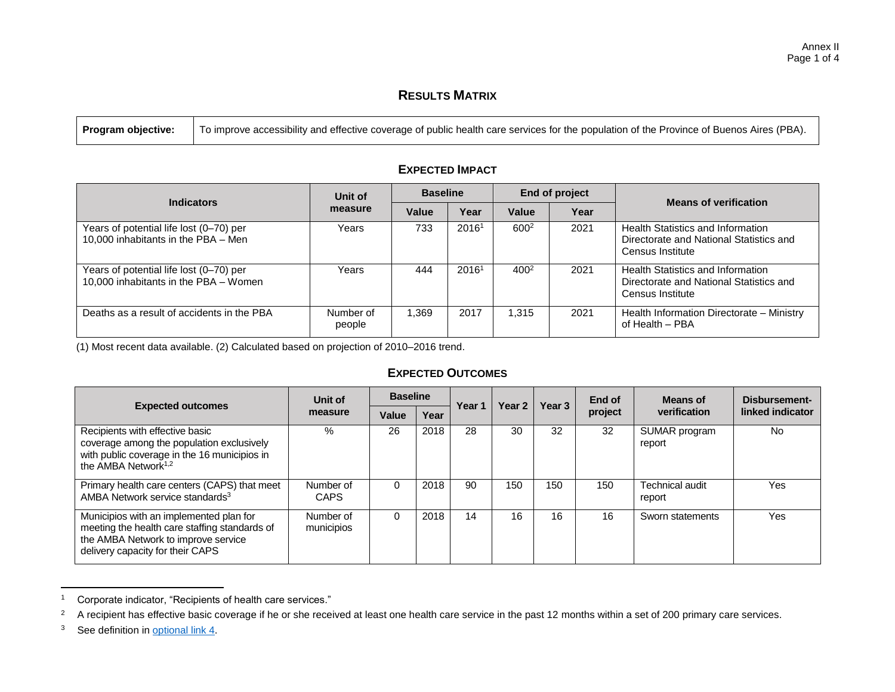## **RESULTS MATRIX**

| Indicators                                                                       | Unit of             | <b>Baseline</b> |                   |           | End of project | <b>Means of verification</b>                                                                            |  |
|----------------------------------------------------------------------------------|---------------------|-----------------|-------------------|-----------|----------------|---------------------------------------------------------------------------------------------------------|--|
|                                                                                  | measure             | Value           | Year              | Value     | Year           |                                                                                                         |  |
| Years of potential life lost (0–70) per<br>10,000 inhabitants in the PBA - Men   | Years               | 733             | 2016 <sup>1</sup> | $600^2$   | 2021           | Health Statistics and Information<br>Directorate and National Statistics and<br>Census Institute        |  |
| Years of potential life lost (0–70) per<br>10,000 inhabitants in the PBA - Women | Years               | 444             | 2016 <sup>1</sup> | $400^{2}$ | 2021           | <b>Health Statistics and Information</b><br>Directorate and National Statistics and<br>Census Institute |  |
| Deaths as a result of accidents in the PBA                                       | Number of<br>people | 1.369           | 2017              | 1.315     | 2021           | Health Information Directorate - Ministry<br>of Health - PBA                                            |  |

## **EXPECTED IMPACT**

(1) Most recent data available. (2) Calculated based on projection of 2010–2016 trend.

## **EXPECTED OUTCOMES**

| <b>Expected outcomes</b>                                                                                                                                            | Unit of                  | <b>Baseline</b> |      | Year 1 | Year 2 | Year 3 | End of  | Means of                  | Disbursement-    |
|---------------------------------------------------------------------------------------------------------------------------------------------------------------------|--------------------------|-----------------|------|--------|--------|--------|---------|---------------------------|------------------|
|                                                                                                                                                                     | measure                  | Value           | Year |        |        |        | project | verification              | linked indicator |
| Recipients with effective basic<br>coverage among the population exclusively<br>with public coverage in the 16 municipios in<br>the AMBA Network $1,2$              | $\%$                     | 26              | 2018 | 28     | 30     | 32     | 32      | SUMAR program<br>report   | No               |
| Primary health care centers (CAPS) that meet<br>AMBA Network service standards <sup>3</sup>                                                                         | Number of<br><b>CAPS</b> | 0               | 2018 | 90     | 150    | 150    | 150     | Technical audit<br>report | Yes              |
| Municipios with an implemented plan for<br>meeting the health care staffing standards of<br>the AMBA Network to improve service<br>delivery capacity for their CAPS | Number of<br>municipios  | 0               | 2018 | 14     | 16     | 16     | 16      | Sworn statements          | Yes              |

<sup>1</sup> Corporate indicator, "Recipients of health care services."

 $\overline{\phantom{a}}$ 

<sup>&</sup>lt;sup>2</sup> A recipient has effective basic coverage if he or she received at least one health care service in the past 12 months within a set of 200 primary care services.

<sup>&</sup>lt;sup>3</sup> See definition in [optional link](http://idbdocs.iadb.org/wsdocs/getDocument.aspx?DOCNUM=EZSHARE-2055647864-19) 4.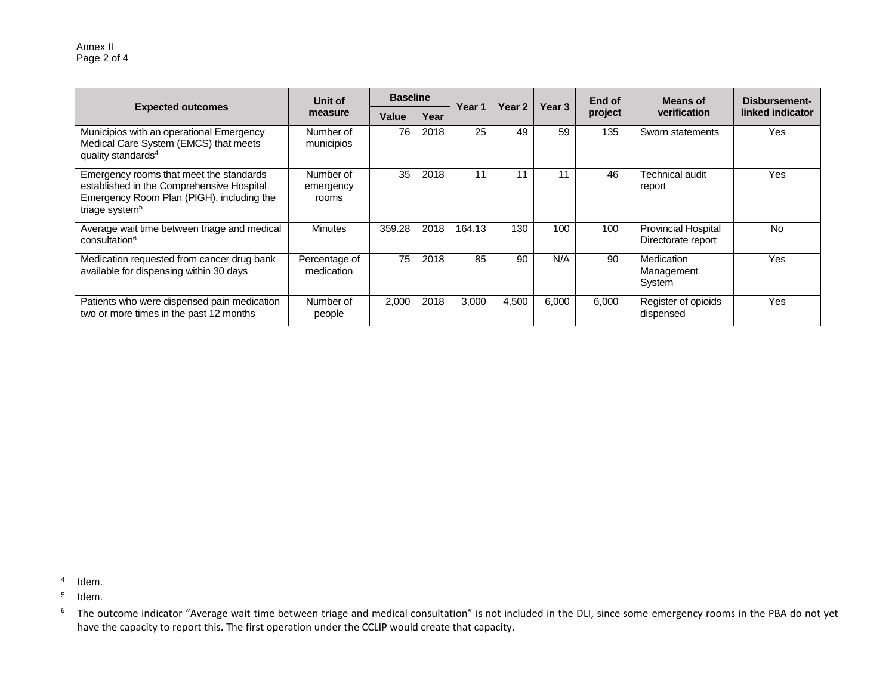Annex II Page 2 of 4

|                                                                                                                                                                 | Unit of                         | <b>Baseline</b> |      |        |        |        | End of  | Means of                                         | Disbursement-    |  |
|-----------------------------------------------------------------------------------------------------------------------------------------------------------------|---------------------------------|-----------------|------|--------|--------|--------|---------|--------------------------------------------------|------------------|--|
| <b>Expected outcomes</b>                                                                                                                                        | measure                         | Value           | Year | Year 1 | Year 2 | Year 3 | project | verification                                     | linked indicator |  |
| Municipios with an operational Emergency<br>Medical Care System (EMCS) that meets<br>quality standards <sup>4</sup>                                             | Number of<br>municipios         | 76              | 2018 | 25     | 49     | 59     | 135     | Sworn statements                                 | <b>Yes</b>       |  |
| Emergency rooms that meet the standards<br>established in the Comprehensive Hospital<br>Emergency Room Plan (PIGH), including the<br>triage system <sup>5</sup> | Number of<br>emergency<br>rooms | 35              | 2018 | 11     | 11     | 11     | 46      | Technical audit<br>report                        | Yes              |  |
| Average wait time between triage and medical<br>consultation <sup>6</sup>                                                                                       | <b>Minutes</b>                  | 359.28          | 2018 | 164.13 | 130    | 100    | 100     | <b>Provincial Hospital</b><br>Directorate report | <b>No</b>        |  |
| Medication requested from cancer drug bank<br>available for dispensing within 30 days                                                                           | Percentage of<br>medication     | 75              | 2018 | 85     | 90     | N/A    | 90      | Medication<br>Management<br>System               | <b>Yes</b>       |  |
| Patients who were dispensed pain medication<br>two or more times in the past 12 months                                                                          | Number of<br>people             | 2,000           | 2018 | 3,000  | 4,500  | 6,000  | 6,000   | Register of opioids<br>dispensed                 | Yes              |  |

 $\overline{\phantom{a}}$ 

<sup>4</sup> Idem.

<sup>5</sup> Idem.

 $<sup>6</sup>$  The outcome indicator "Average wait time between triage and medical consultation" is not included in the DLI, since some emergency rooms in the PBA do not yet</sup> have the capacity to report this. The first operation under the CCLIP would create that capacity.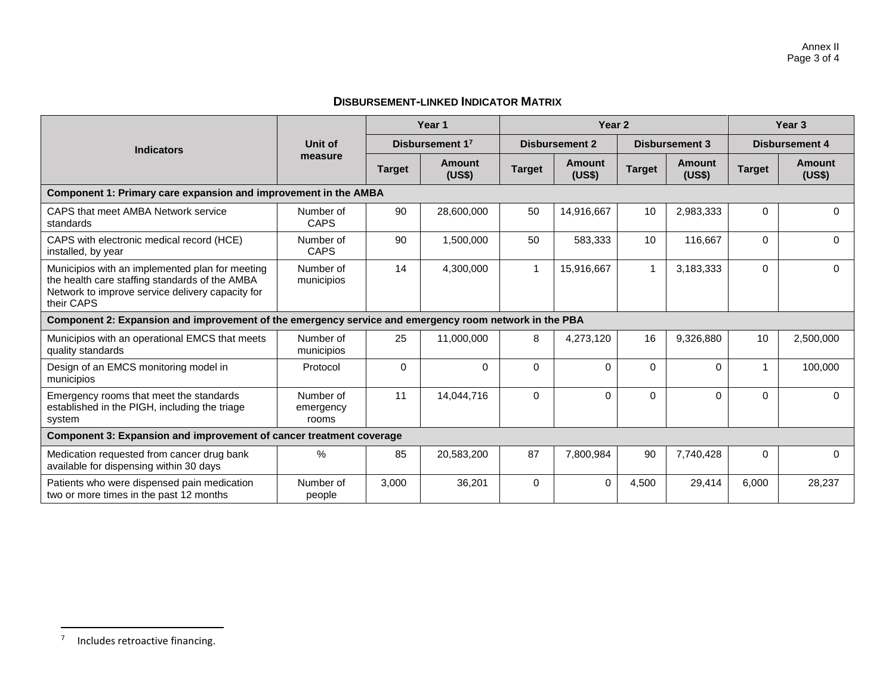## **DISBURSEMENT-LINKED INDICATOR MATRIX**

|                                                                                                                                                                     |                                 |               | Year 1           |                | Year <sub>2</sub>     | Year <sub>3</sub> |                         |                       |                  |
|---------------------------------------------------------------------------------------------------------------------------------------------------------------------|---------------------------------|---------------|------------------|----------------|-----------------------|-------------------|-------------------------|-----------------------|------------------|
| <b>Indicators</b>                                                                                                                                                   | Unit of<br>measure              |               | Disbursement 17  |                | <b>Disbursement 2</b> |                   | <b>Disbursement 3</b>   | <b>Disbursement 4</b> |                  |
|                                                                                                                                                                     |                                 | <b>Target</b> | Amount<br>(US\$) | <b>Target</b>  | Amount<br>(US\$)      | <b>Target</b>     | <b>Amount</b><br>(US\$) | <b>Target</b>         | Amount<br>(US\$) |
| Component 1: Primary care expansion and improvement in the AMBA                                                                                                     |                                 |               |                  |                |                       |                   |                         |                       |                  |
| CAPS that meet AMBA Network service<br>standards                                                                                                                    | Number of<br><b>CAPS</b>        | 90            | 28,600,000       | 50             | 14.916.667            | 10                | 2,983,333               | $\Omega$              | 0                |
| CAPS with electronic medical record (HCE)<br>installed, by year                                                                                                     | Number of<br><b>CAPS</b>        | 90            | 1,500,000        | 50             | 583,333               | 10                | 116,667                 | $\Omega$              | 0                |
| Municipios with an implemented plan for meeting<br>the health care staffing standards of the AMBA<br>Network to improve service delivery capacity for<br>their CAPS | Number of<br>municipios         | 14            | 4,300,000        | $\overline{1}$ | 15,916,667            | $\mathbf{1}$      | 3,183,333               | $\Omega$              | 0                |
| Component 2: Expansion and improvement of the emergency service and emergency room network in the PBA                                                               |                                 |               |                  |                |                       |                   |                         |                       |                  |
| Municipios with an operational EMCS that meets<br>quality standards                                                                                                 | Number of<br>municipios         | 25            | 11,000,000       | 8              | 4,273,120             | 16                | 9,326,880               | 10 <sup>1</sup>       | 2,500,000        |
| Design of an EMCS monitoring model in<br>municipios                                                                                                                 | Protocol                        | $\Omega$      | $\Omega$         | $\Omega$       | $\Omega$              | $\Omega$          | $\Omega$                |                       | 100,000          |
| Emergency rooms that meet the standards<br>established in the PIGH, including the triage<br>system                                                                  | Number of<br>emergency<br>rooms | 11            | 14,044,716       | $\Omega$       | $\Omega$              | $\Omega$          | $\Omega$                | $\Omega$              | 0                |
| Component 3: Expansion and improvement of cancer treatment coverage                                                                                                 |                                 |               |                  |                |                       |                   |                         |                       |                  |
| Medication requested from cancer drug bank<br>available for dispensing within 30 days                                                                               | $\%$                            | 85            | 20,583,200       | 87             | 7,800,984             | 90                | 7,740,428               | $\mathbf{0}$          | 0                |
| Patients who were dispensed pain medication<br>two or more times in the past 12 months                                                                              | Number of<br>people             | 3,000         | 36,201           | $\Omega$       | $\Omega$              | 4,500             | 29,414                  | 6,000                 | 28,237           |

7 Includes retroactive financing.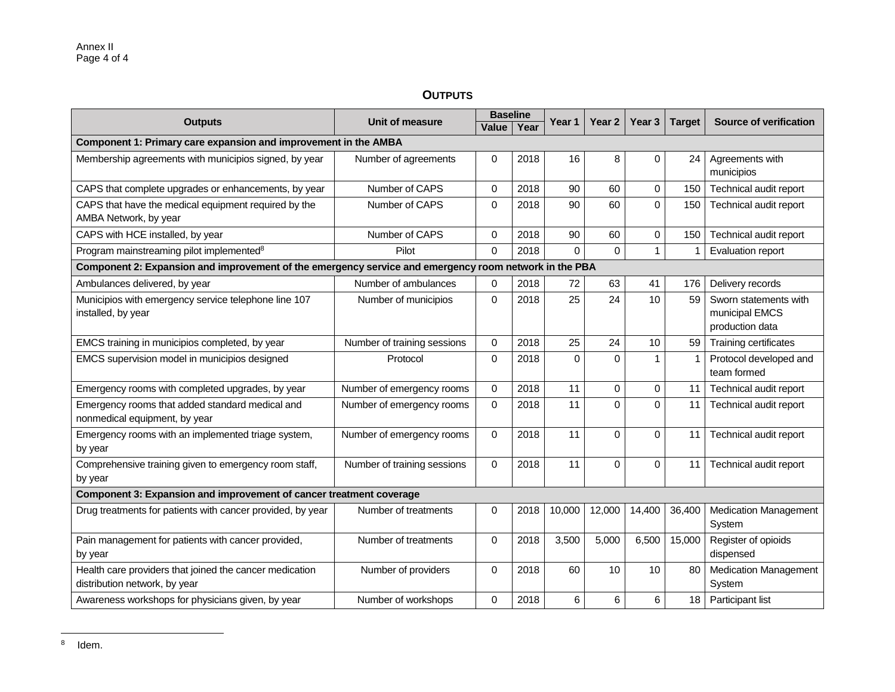## **OUTPUTS**

|                                                                                                       | <b>Baseline</b>             |             |      |          | Year 2   | Year <sub>3</sub> |               | <b>Source of verification</b>                              |  |
|-------------------------------------------------------------------------------------------------------|-----------------------------|-------------|------|----------|----------|-------------------|---------------|------------------------------------------------------------|--|
| <b>Outputs</b>                                                                                        | <b>Unit of measure</b>      | Value       | Year | Year 1   |          |                   | <b>Target</b> |                                                            |  |
| Component 1: Primary care expansion and improvement in the AMBA                                       |                             |             |      |          |          |                   |               |                                                            |  |
| Membership agreements with municipios signed, by year                                                 | Number of agreements        | 0           | 2018 | 16       | 8        | 0                 | 24            | Agreements with<br>municipios                              |  |
| CAPS that complete upgrades or enhancements, by year                                                  | Number of CAPS              | $\mathbf 0$ | 2018 | 90       | 60       | 0                 | 150           | Technical audit report                                     |  |
| CAPS that have the medical equipment required by the<br>AMBA Network, by year                         | Number of CAPS              | $\mathbf 0$ | 2018 | 90       | 60       | $\overline{0}$    | 150           | Technical audit report                                     |  |
| CAPS with HCE installed, by year                                                                      | Number of CAPS              | $\mathbf 0$ | 2018 | 90       | 60       | 0                 | 150           | Technical audit report                                     |  |
| Program mainstreaming pilot implemented <sup>8</sup>                                                  | Pilot                       | $\Omega$    | 2018 | $\Omega$ | $\Omega$ | $\mathbf{1}$      |               | Evaluation report                                          |  |
| Component 2: Expansion and improvement of the emergency service and emergency room network in the PBA |                             |             |      |          |          |                   |               |                                                            |  |
| Ambulances delivered, by year                                                                         | Number of ambulances        | 0           | 2018 | 72       | 63       | 41                | 176           | Delivery records                                           |  |
| Municipios with emergency service telephone line 107<br>installed, by year                            | Number of municipios        | $\mathbf 0$ | 2018 | 25       | 24       | 10                | 59            | Sworn statements with<br>municipal EMCS<br>production data |  |
| EMCS training in municipios completed, by year                                                        | Number of training sessions | $\Omega$    | 2018 | 25       | 24       | 10                | 59            | Training certificates                                      |  |
| EMCS supervision model in municipios designed                                                         | Protocol                    |             | 2018 | $\Omega$ | 0        | 1                 | 1             | Protocol developed and<br>team formed                      |  |
| Emergency rooms with completed upgrades, by year                                                      | Number of emergency rooms   | $\mathbf 0$ | 2018 | 11       | 0        | 0                 | 11            | Technical audit report                                     |  |
| Emergency rooms that added standard medical and<br>nonmedical equipment, by year                      | Number of emergency rooms   | $\mathbf 0$ | 2018 | 11       | $\Omega$ | $\Omega$          | 11            | Technical audit report                                     |  |
| Emergency rooms with an implemented triage system,<br>by year                                         | Number of emergency rooms   | $\mathbf 0$ | 2018 | 11       | $\Omega$ | $\Omega$          | 11            | Technical audit report                                     |  |
| Comprehensive training given to emergency room staff,<br>by year                                      | Number of training sessions | $\mathbf 0$ | 2018 | 11       | $\Omega$ | $\Omega$          | 11            | Technical audit report                                     |  |
| Component 3: Expansion and improvement of cancer treatment coverage                                   |                             |             |      |          |          |                   |               |                                                            |  |
| Drug treatments for patients with cancer provided, by year                                            | Number of treatments        | 0           | 2018 | 10,000   | 12,000   | 14,400            | 36,400        | <b>Medication Management</b><br>System                     |  |
| Pain management for patients with cancer provided,<br>by year                                         | Number of treatments        | $\Omega$    | 2018 | 3,500    | 5,000    | 6,500             | 15,000        | Register of opioids<br>dispensed                           |  |
| Health care providers that joined the cancer medication<br>distribution network, by year              | Number of providers         | $\Omega$    | 2018 | 60       | 10       | 10                | 80            | <b>Medication Management</b><br>System                     |  |
| Awareness workshops for physicians given, by year                                                     | Number of workshops         | $\mathbf 0$ | 2018 | 6        | 6        | 6                 | 18            | Participant list                                           |  |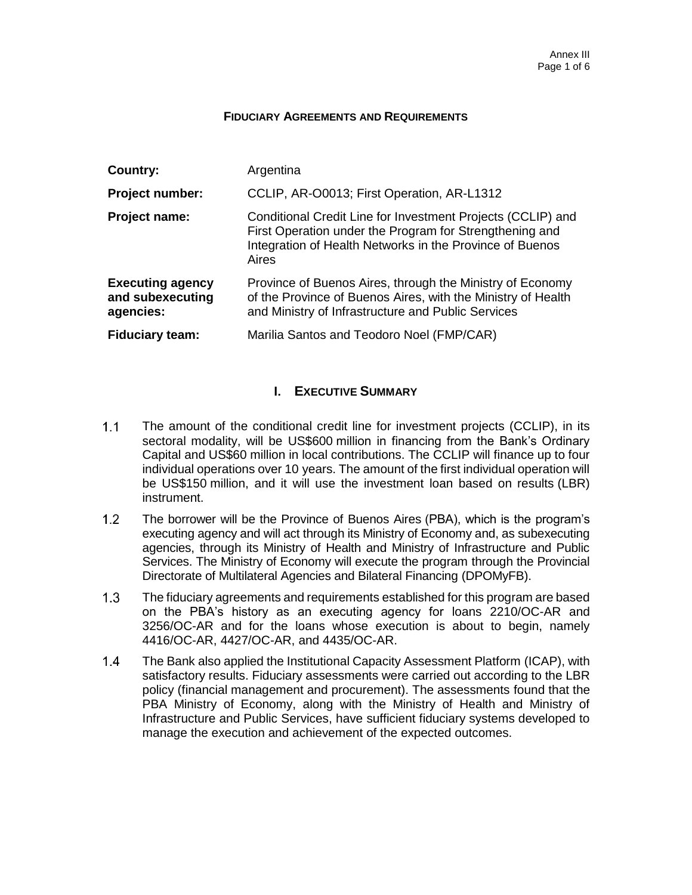#### **FIDUCIARY AGREEMENTS AND REQUIREMENTS**

| Country:                                                 | Argentina                                                                                                                                                                                   |
|----------------------------------------------------------|---------------------------------------------------------------------------------------------------------------------------------------------------------------------------------------------|
| <b>Project number:</b>                                   | CCLIP, AR-O0013; First Operation, AR-L1312                                                                                                                                                  |
| Project name:                                            | Conditional Credit Line for Investment Projects (CCLIP) and<br>First Operation under the Program for Strengthening and<br>Integration of Health Networks in the Province of Buenos<br>Aires |
| <b>Executing agency</b><br>and subexecuting<br>agencies: | Province of Buenos Aires, through the Ministry of Economy<br>of the Province of Buenos Aires, with the Ministry of Health<br>and Ministry of Infrastructure and Public Services             |
| <b>Fiduciary team:</b>                                   | Marilia Santos and Teodoro Noel (FMP/CAR)                                                                                                                                                   |

## **I. EXECUTIVE SUMMARY**

- $1.1$ The amount of the conditional credit line for investment projects (CCLIP), in its sectoral modality, will be US\$600 million in financing from the Bank's Ordinary Capital and US\$60 million in local contributions. The CCLIP will finance up to four individual operations over 10 years. The amount of the first individual operation will be US\$150 million, and it will use the investment loan based on results (LBR) instrument.
- $1.2$ The borrower will be the Province of Buenos Aires (PBA), which is the program's executing agency and will act through its Ministry of Economy and, as subexecuting agencies, through its Ministry of Health and Ministry of Infrastructure and Public Services. The Ministry of Economy will execute the program through the Provincial Directorate of Multilateral Agencies and Bilateral Financing (DPOMyFB).
- $1.3$ The fiduciary agreements and requirements established for this program are based on the PBA's history as an executing agency for loans 2210/OC-AR and 3256/OC-AR and for the loans whose execution is about to begin, namely 4416/OC-AR, 4427/OC-AR, and 4435/OC-AR.
- $1.4$ The Bank also applied the Institutional Capacity Assessment Platform (ICAP), with satisfactory results. Fiduciary assessments were carried out according to the LBR policy (financial management and procurement). The assessments found that the PBA Ministry of Economy, along with the Ministry of Health and Ministry of Infrastructure and Public Services, have sufficient fiduciary systems developed to manage the execution and achievement of the expected outcomes.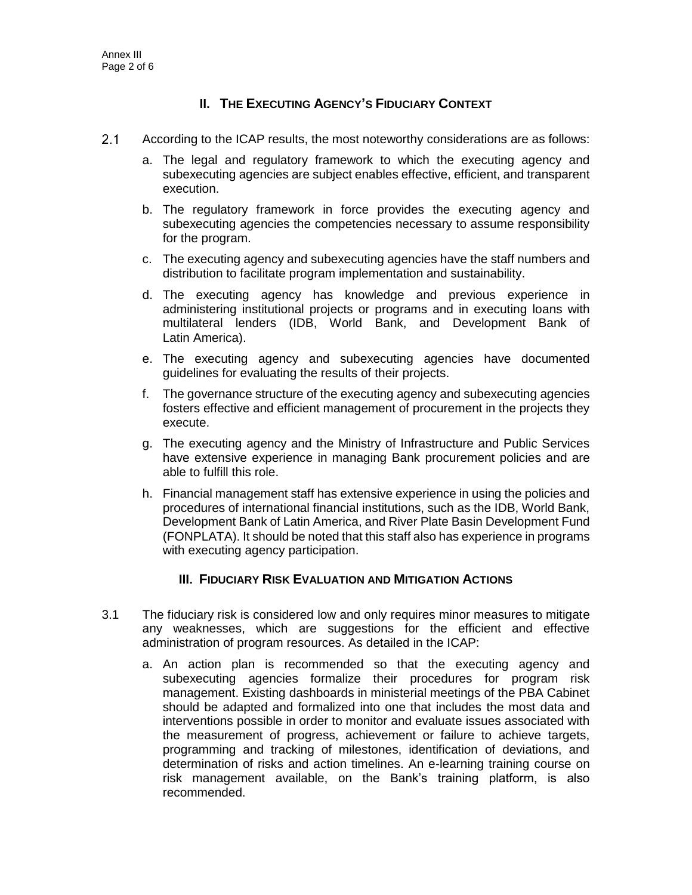## **II. THE EXECUTING AGENCY'S FIDUCIARY CONTEXT**

- $2.1$ According to the ICAP results, the most noteworthy considerations are as follows:
	- a. The legal and regulatory framework to which the executing agency and subexecuting agencies are subject enables effective, efficient, and transparent execution.
	- b. The regulatory framework in force provides the executing agency and subexecuting agencies the competencies necessary to assume responsibility for the program.
	- c. The executing agency and subexecuting agencies have the staff numbers and distribution to facilitate program implementation and sustainability.
	- d. The executing agency has knowledge and previous experience in administering institutional projects or programs and in executing loans with multilateral lenders (IDB, World Bank, and Development Bank of Latin America).
	- e. The executing agency and subexecuting agencies have documented guidelines for evaluating the results of their projects.
	- f. The governance structure of the executing agency and subexecuting agencies fosters effective and efficient management of procurement in the projects they execute.
	- g. The executing agency and the Ministry of Infrastructure and Public Services have extensive experience in managing Bank procurement policies and are able to fulfill this role.
	- h. Financial management staff has extensive experience in using the policies and procedures of international financial institutions, such as the IDB, World Bank, Development Bank of Latin America, and River Plate Basin Development Fund (FONPLATA). It should be noted that this staff also has experience in programs with executing agency participation.

## **III. FIDUCIARY RISK EVALUATION AND MITIGATION ACTIONS**

- 3.1 The fiduciary risk is considered low and only requires minor measures to mitigate any weaknesses, which are suggestions for the efficient and effective administration of program resources. As detailed in the ICAP:
	- a. An action plan is recommended so that the executing agency and subexecuting agencies formalize their procedures for program risk management. Existing dashboards in ministerial meetings of the PBA Cabinet should be adapted and formalized into one that includes the most data and interventions possible in order to monitor and evaluate issues associated with the measurement of progress, achievement or failure to achieve targets, programming and tracking of milestones, identification of deviations, and determination of risks and action timelines. An e-learning training course on risk management available, on the Bank's training platform, is also recommended.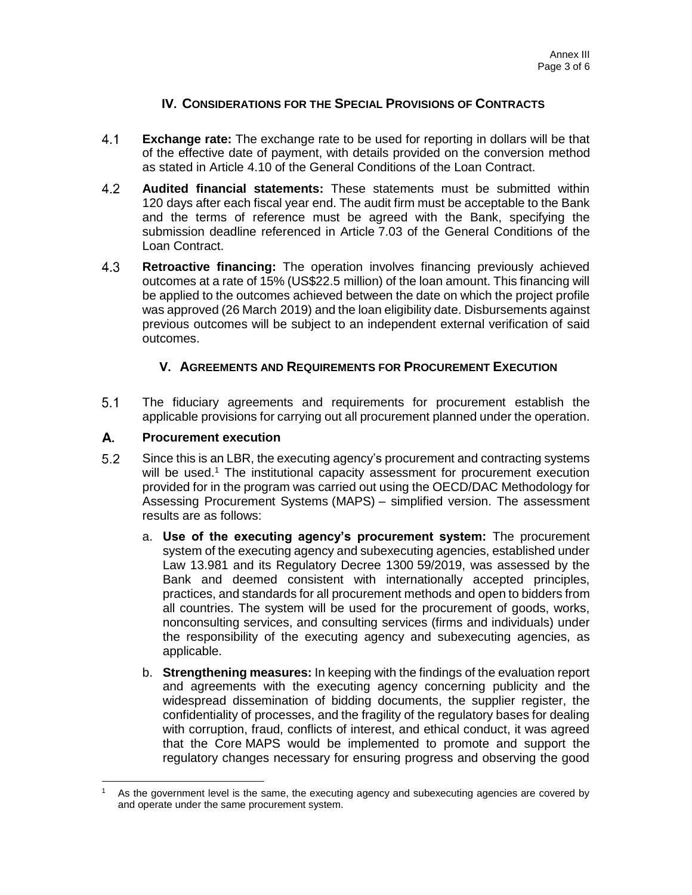## **IV. CONSIDERATIONS FOR THE SPECIAL PROVISIONS OF CONTRACTS**

- $4.1$ **Exchange rate:** The exchange rate to be used for reporting in dollars will be that of the effective date of payment, with details provided on the conversion method as stated in Article 4.10 of the General Conditions of the Loan Contract.
- $4.2$ **Audited financial statements:** These statements must be submitted within 120 days after each fiscal year end. The audit firm must be acceptable to the Bank and the terms of reference must be agreed with the Bank, specifying the submission deadline referenced in Article 7.03 of the General Conditions of the Loan Contract.
- 4.3 **Retroactive financing:** The operation involves financing previously achieved outcomes at a rate of 15% (US\$22.5 million) of the loan amount. This financing will be applied to the outcomes achieved between the date on which the project profile was approved (26 March 2019) and the loan eligibility date. Disbursements against previous outcomes will be subject to an independent external verification of said outcomes.

## **V. AGREEMENTS AND REQUIREMENTS FOR PROCUREMENT EXECUTION**

 $5.1$ The fiduciary agreements and requirements for procurement establish the applicable provisions for carrying out all procurement planned under the operation.

#### А. **Procurement execution**

- $5.2$ Since this is an LBR, the executing agency's procurement and contracting systems will be used.<sup>1</sup> The institutional capacity assessment for procurement execution provided for in the program was carried out using the OECD/DAC Methodology for Assessing Procurement Systems (MAPS) – simplified version. The assessment results are as follows:
	- a. **Use of the executing agency's procurement system:** The procurement system of the executing agency and subexecuting agencies, established under Law 13.981 and its Regulatory Decree 1300 59/2019, was assessed by the Bank and deemed consistent with internationally accepted principles, practices, and standards for all procurement methods and open to bidders from all countries. The system will be used for the procurement of goods, works, nonconsulting services, and consulting services (firms and individuals) under the responsibility of the executing agency and subexecuting agencies, as applicable.
	- b. **Strengthening measures:** In keeping with the findings of the evaluation report and agreements with the executing agency concerning publicity and the widespread dissemination of bidding documents, the supplier register, the confidentiality of processes, and the fragility of the regulatory bases for dealing with corruption, fraud, conflicts of interest, and ethical conduct, it was agreed that the Core MAPS would be implemented to promote and support the regulatory changes necessary for ensuring progress and observing the good

 $\overline{a}$ As the government level is the same, the executing agency and subexecuting agencies are covered by and operate under the same procurement system.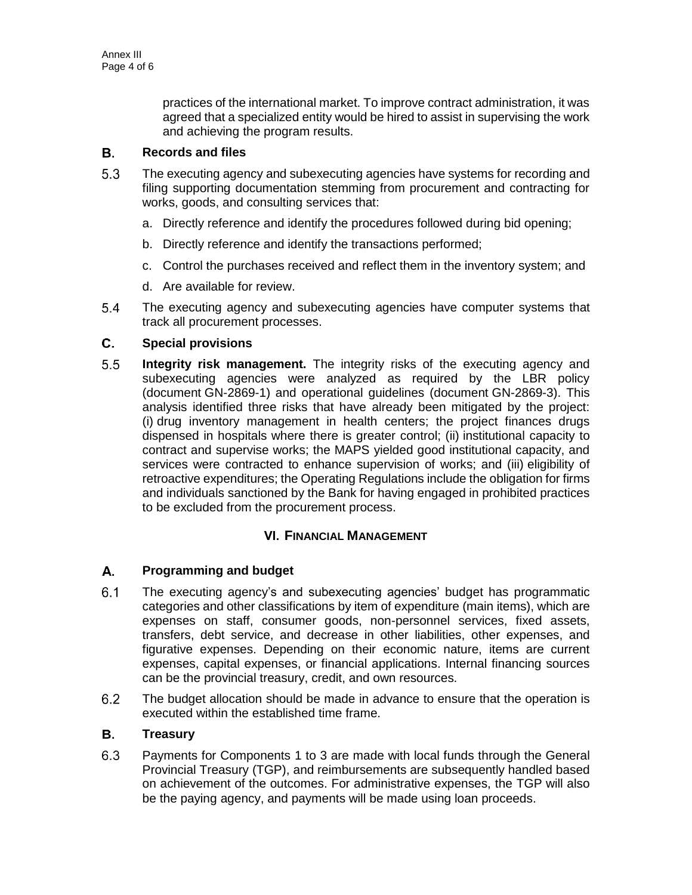practices of the international market. To improve contract administration, it was agreed that a specialized entity would be hired to assist in supervising the work and achieving the program results.

#### В. **Records and files**

- $5.3$ The executing agency and subexecuting agencies have systems for recording and filing supporting documentation stemming from procurement and contracting for works, goods, and consulting services that:
	- a. Directly reference and identify the procedures followed during bid opening;
	- b. Directly reference and identify the transactions performed;
	- c. Control the purchases received and reflect them in the inventory system; and
	- d. Are available for review.
- $5.4$ The executing agency and subexecuting agencies have computer systems that track all procurement processes.

#### C. **Special provisions**

 $5.5$ **Integrity risk management.** The integrity risks of the executing agency and subexecuting agencies were analyzed as required by the LBR policy (document GN-2869-1) and operational guidelines (document GN-2869-3). This analysis identified three risks that have already been mitigated by the project: (i) drug inventory management in health centers; the project finances drugs dispensed in hospitals where there is greater control; (ii) institutional capacity to contract and supervise works; the MAPS yielded good institutional capacity, and services were contracted to enhance supervision of works; and (iii) eligibility of retroactive expenditures; the Operating Regulations include the obligation for firms and individuals sanctioned by the Bank for having engaged in prohibited practices to be excluded from the procurement process.

## **VI. FINANCIAL MANAGEMENT**

#### А. **Programming and budget**

- The executing agency's and subexecuting agencies' budget has programmatic  $6.1$ categories and other classifications by item of expenditure (main items), which are expenses on staff, consumer goods, non-personnel services, fixed assets, transfers, debt service, and decrease in other liabilities, other expenses, and figurative expenses. Depending on their economic nature, items are current expenses, capital expenses, or financial applications. Internal financing sources can be the provincial treasury, credit, and own resources.
- $6.2$ The budget allocation should be made in advance to ensure that the operation is executed within the established time frame.

#### В. **Treasury**

 $6.3$ Payments for Components 1 to 3 are made with local funds through the General Provincial Treasury (TGP), and reimbursements are subsequently handled based on achievement of the outcomes. For administrative expenses, the TGP will also be the paying agency, and payments will be made using loan proceeds.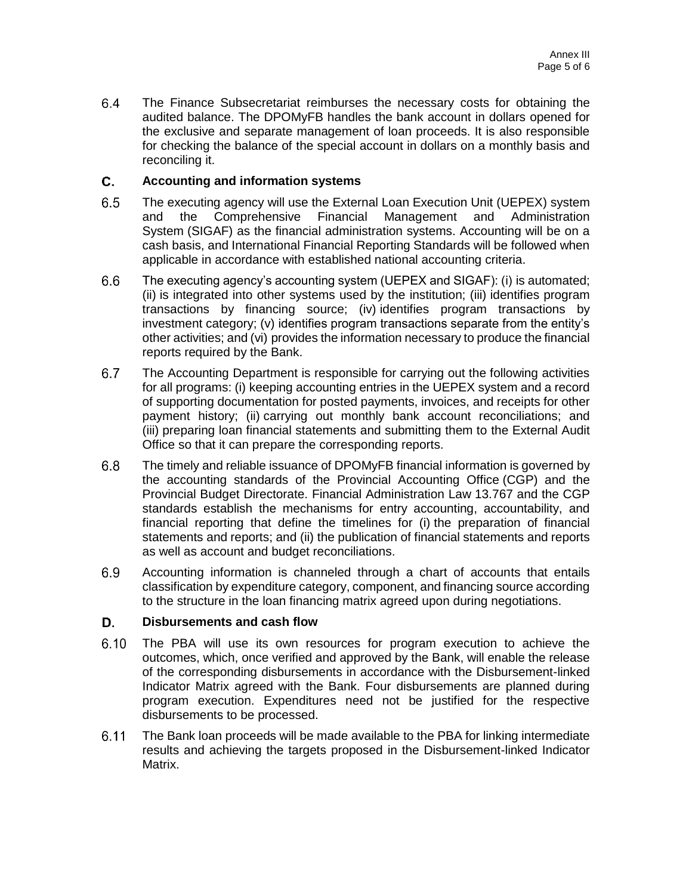$6.4$ The Finance Subsecretariat reimburses the necessary costs for obtaining the audited balance. The DPOMyFB handles the bank account in dollars opened for the exclusive and separate management of loan proceeds. It is also responsible for checking the balance of the special account in dollars on a monthly basis and reconciling it.

#### C. **Accounting and information systems**

- $6.5$ The executing agency will use the External Loan Execution Unit (UEPEX) system and the Comprehensive Financial Management and Administration System (SIGAF) as the financial administration systems. Accounting will be on a cash basis, and International Financial Reporting Standards will be followed when applicable in accordance with established national accounting criteria.
- $6.6$ The executing agency's accounting system (UEPEX and SIGAF): (i) is automated; (ii) is integrated into other systems used by the institution; (iii) identifies program transactions by financing source; (iv) identifies program transactions by investment category; (v) identifies program transactions separate from the entity's other activities; and (vi) provides the information necessary to produce the financial reports required by the Bank.
- $6.7$ The Accounting Department is responsible for carrying out the following activities for all programs: (i) keeping accounting entries in the UEPEX system and a record of supporting documentation for posted payments, invoices, and receipts for other payment history; (ii) carrying out monthly bank account reconciliations; and (iii) preparing loan financial statements and submitting them to the External Audit Office so that it can prepare the corresponding reports.
- $6.8$ The timely and reliable issuance of DPOMyFB financial information is governed by the accounting standards of the Provincial Accounting Office (CGP) and the Provincial Budget Directorate. Financial Administration Law 13.767 and the CGP standards establish the mechanisms for entry accounting, accountability, and financial reporting that define the timelines for (i) the preparation of financial statements and reports; and (ii) the publication of financial statements and reports as well as account and budget reconciliations.
- 6.9 Accounting information is channeled through a chart of accounts that entails classification by expenditure category, component, and financing source according to the structure in the loan financing matrix agreed upon during negotiations.

#### D. **Disbursements and cash flow**

- $6.10$ The PBA will use its own resources for program execution to achieve the outcomes, which, once verified and approved by the Bank, will enable the release of the corresponding disbursements in accordance with the Disbursement-linked Indicator Matrix agreed with the Bank. Four disbursements are planned during program execution. Expenditures need not be justified for the respective disbursements to be processed.
- $6.11$ The Bank loan proceeds will be made available to the PBA for linking intermediate results and achieving the targets proposed in the Disbursement-linked Indicator Matrix.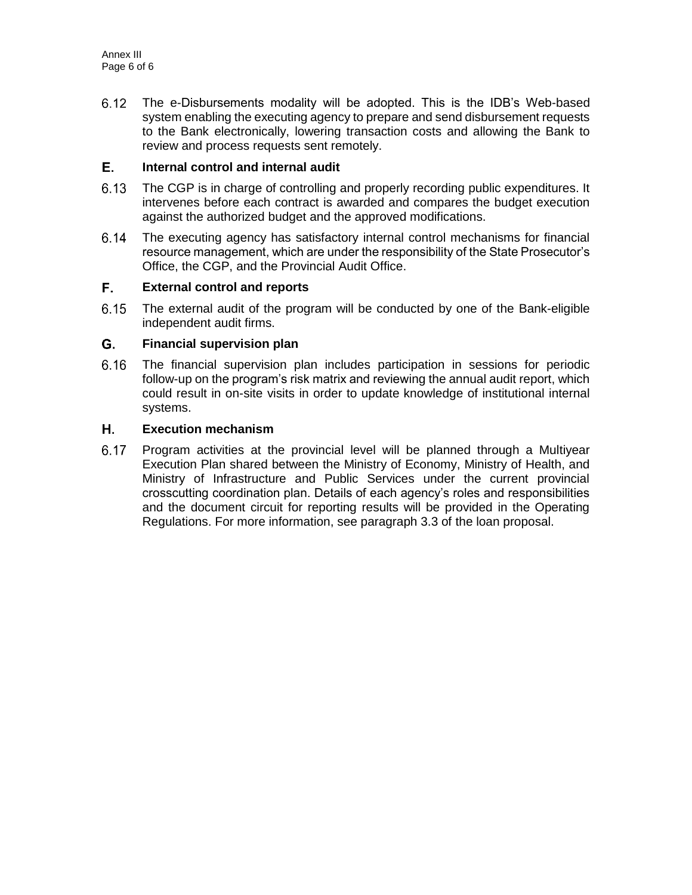$6.12$ The e-Disbursements modality will be adopted. This is the IDB's Web-based system enabling the executing agency to prepare and send disbursement requests to the Bank electronically, lowering transaction costs and allowing the Bank to review and process requests sent remotely.

#### Е. **Internal control and internal audit**

- $6.13$ The CGP is in charge of controlling and properly recording public expenditures. It intervenes before each contract is awarded and compares the budget execution against the authorized budget and the approved modifications.
- $6.14$ The executing agency has satisfactory internal control mechanisms for financial resource management, which are under the responsibility of the State Prosecutor's Office, the CGP, and the Provincial Audit Office.

#### F., **External control and reports**

 $6.15$ The external audit of the program will be conducted by one of the Bank-eligible independent audit firms.

#### G. **Financial supervision plan**

6.16 The financial supervision plan includes participation in sessions for periodic follow-up on the program's risk matrix and reviewing the annual audit report, which could result in on-site visits in order to update knowledge of institutional internal systems.

#### Η. **Execution mechanism**

 $6.17$ Program activities at the provincial level will be planned through a Multiyear Execution Plan shared between the Ministry of Economy, Ministry of Health, and Ministry of Infrastructure and Public Services under the current provincial crosscutting coordination plan. Details of each agency's roles and responsibilities and the document circuit for reporting results will be provided in the Operating Regulations. For more information, see paragraph 3.3 of the loan proposal.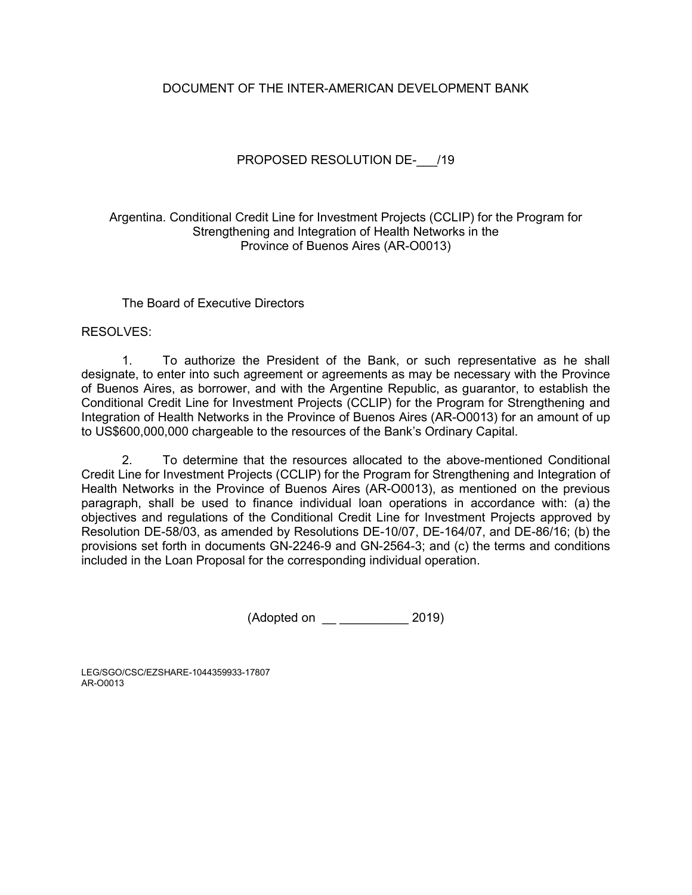## DOCUMENT OF THE INTER-AMERICAN DEVELOPMENT BANK

## PROPOSED RESOLUTION DE- /19

## Argentina. Conditional Credit Line for Investment Projects (CCLIP) for the Program for Strengthening and Integration of Health Networks in the Province of Buenos Aires (AR-O0013)

## The Board of Executive Directors

## RESOLVES:

1. To authorize the President of the Bank, or such representative as he shall designate, to enter into such agreement or agreements as may be necessary with the Province of Buenos Aires, as borrower, and with the Argentine Republic, as guarantor, to establish the Conditional Credit Line for Investment Projects (CCLIP) for the Program for Strengthening and Integration of Health Networks in the Province of Buenos Aires (AR-O0013) for an amount of up to US\$600,000,000 chargeable to the resources of the Bank's Ordinary Capital.

2. To determine that the resources allocated to the above-mentioned Conditional Credit Line for Investment Projects (CCLIP) for the Program for Strengthening and Integration of Health Networks in the Province of Buenos Aires (AR-O0013), as mentioned on the previous paragraph, shall be used to finance individual loan operations in accordance with: (a) the objectives and regulations of the Conditional Credit Line for Investment Projects approved by Resolution DE-58/03, as amended by Resolutions DE-10/07, DE-164/07, and DE-86/16; (b) the provisions set forth in documents GN-2246-9 and GN-2564-3; and (c) the terms and conditions included in the Loan Proposal for the corresponding individual operation.

(Adopted on \_\_ \_\_\_\_\_\_\_\_\_\_ 2019)

LEG/SGO/CSC/EZSHARE-1044359933-17807 AR-O0013